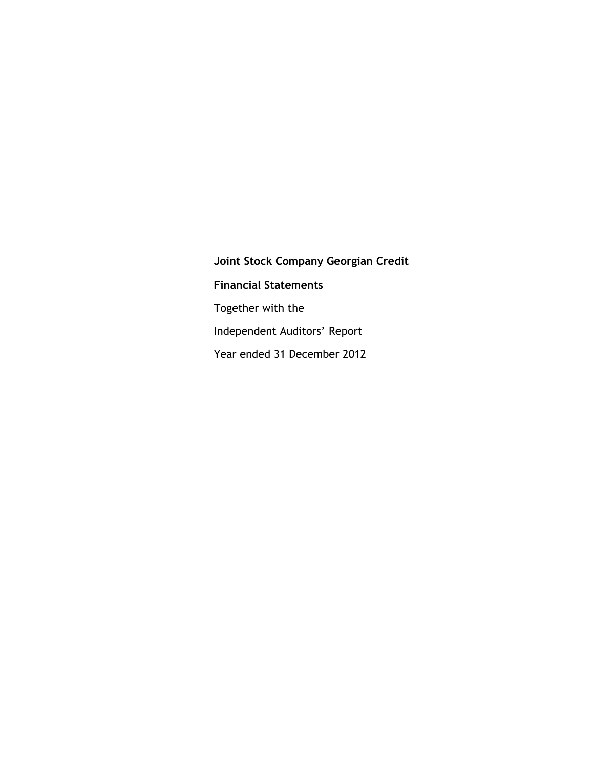**Joint Stock Company Georgian Credit Financial Statements** Together with the Independent Auditors' Report Year ended 31 December 2012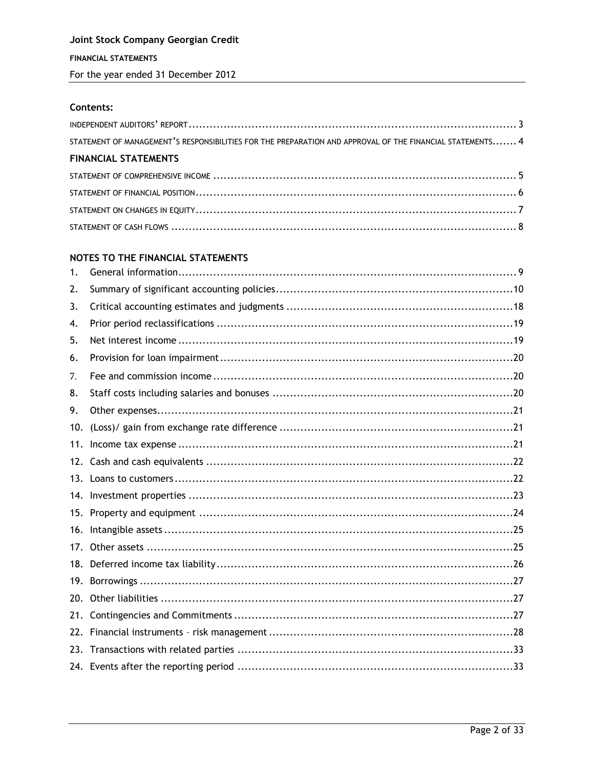## Contents:

| STATEMENT OF MANAGEMENT'S RESPONSIBILITIES FOR THE PREPARATION AND APPROVAL OF THE FINANCIAL STATEMENTS 4 |  |
|-----------------------------------------------------------------------------------------------------------|--|
| <b>FINANCIAL STATEMENTS</b>                                                                               |  |
|                                                                                                           |  |
|                                                                                                           |  |
|                                                                                                           |  |
|                                                                                                           |  |

## NOTES TO THE FINANCIAL STATEMENTS

| 1.  |  |
|-----|--|
| 2.  |  |
| 3.  |  |
| 4.  |  |
| 5.  |  |
| 6.  |  |
| 7.  |  |
| 8.  |  |
| 9.  |  |
| 10. |  |
| 11. |  |
| 12. |  |
|     |  |
|     |  |
| 15. |  |
| 16. |  |
|     |  |
|     |  |
| 19. |  |
| 20. |  |
| 21. |  |
| 22. |  |
| 23. |  |
|     |  |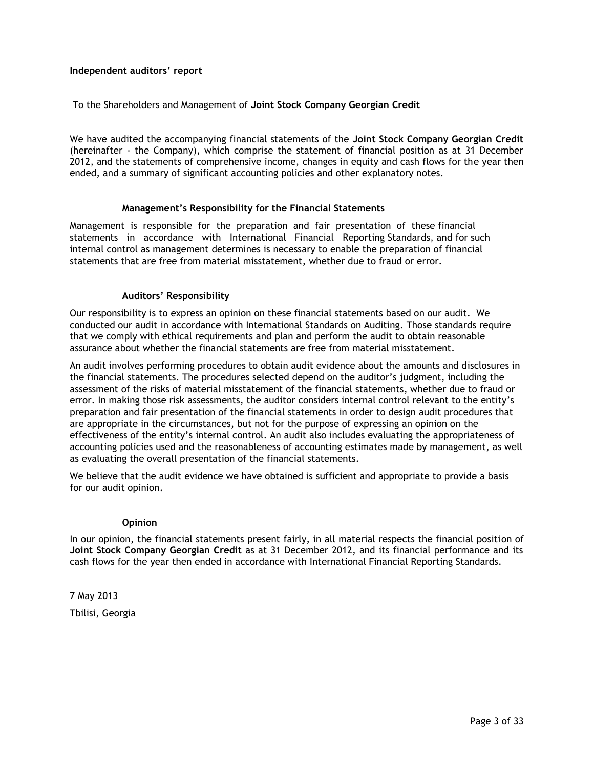## <span id="page-2-1"></span><span id="page-2-0"></span>**Independent auditors' report**

## To the Shareholders and Management of **Joint Stock Company Georgian Credit**

We have audited the accompanying financial statements of the **Joint Stock Company Georgian Credit**  (hereinafter - the Company), which comprise the statement of financial position as at 31 December 2012, and the statements of comprehensive income, changes in equity and cash flows for the year then ended, and a summary of significant accounting policies and other explanatory notes.

#### **Management's Responsibility for the Financial Statements**

Management is responsible for the preparation and fair presentation of these financial statements in accordance with International Financial Reporting Standards, and for such internal control as management determines is necessary to enable the preparation of financial statements that are free from material misstatement, whether due to fraud or error.

## **Auditors' Responsibility**

Our responsibility is to express an opinion on these financial statements based on our audit. We conducted our audit in accordance with International Standards on Auditing. Those standards require that we comply with ethical requirements and plan and perform the audit to obtain reasonable assurance about whether the financial statements are free from material misstatement.

An audit involves performing procedures to obtain audit evidence about the amounts and disclosures in the financial statements. The procedures selected depend on the auditor's judgment, including the assessment of the risks of material misstatement of the financial statements, whether due to fraud or error. In making those risk assessments, the auditor considers internal control relevant to the entity's preparation and fair presentation of the financial statements in order to design audit procedures that are appropriate in the circumstances, but not for the purpose of expressing an opinion on the effectiveness of the entity's internal control. An audit also includes evaluating the appropriateness of accounting policies used and the reasonableness of accounting estimates made by management, as well as evaluating the overall presentation of the financial statements.

We believe that the audit evidence we have obtained is sufficient and appropriate to provide a basis for our audit opinion.

#### **Opinion**

In our opinion, the financial statements present fairly, in all material respects the financial position of **Joint Stock Company Georgian Credit** as at 31 December 2012, and its financial performance and its cash flows for the year then ended in accordance with International Financial Reporting Standards.

7 May 2013 Tbilisi, Georgia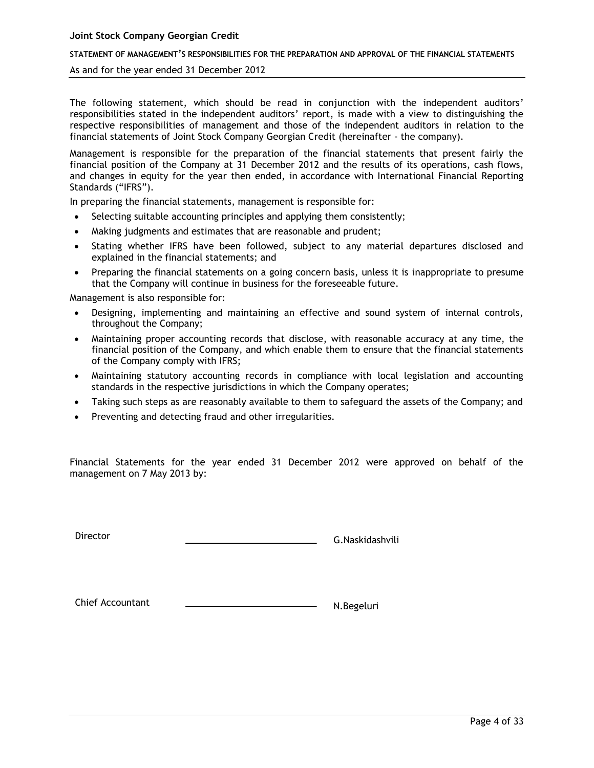#### **STATEMENT OF MANAGEMENT'S RESPONSIBILITIES FOR THE PREPARATION AND APPROVAL OF THE FINANCIAL STATEMENTS**

#### As and for the year ended 31 December 2012

The following statement, which should be read in conjunction with the independent auditors' responsibilities stated in the independent auditors' report, is made with a view to distinguishing the respective responsibilities of management and those of the independent auditors in relation to the financial statements of Joint Stock Company Georgian Credit (hereinafter - the company).

Management is responsible for the preparation of the financial statements that present fairly the financial position of the Company at 31 December 2012 and the results of its operations, cash flows, and changes in equity for the year then ended, in accordance with International Financial Reporting Standards ("IFRS").

In preparing the financial statements, management is responsible for:

- Selecting suitable accounting principles and applying them consistently;
- Making judgments and estimates that are reasonable and prudent;
- Stating whether IFRS have been followed, subject to any material departures disclosed and explained in the financial statements; and
- Preparing the financial statements on a going concern basis, unless it is inappropriate to presume that the Company will continue in business for the foreseeable future.

Management is also responsible for:

- Designing, implementing and maintaining an effective and sound system of internal controls, throughout the Company;
- Maintaining proper accounting records that disclose, with reasonable accuracy at any time, the financial position of the Company, and which enable them to ensure that the financial statements of the Company comply with IFRS;
- Maintaining statutory accounting records in compliance with local legislation and accounting standards in the respective jurisdictions in which the Company operates;
- Taking such steps as are reasonably available to them to safeguard the assets of the Company; and
- Preventing and detecting fraud and other irregularities.

Financial Statements for the year ended 31 December 2012 were approved on behalf of the management on 7 May 2013 by:

Director Contact Contact Contact Contact Contact Contact Contact Contact Contact Contact Contact Contact Contact Contact Contact Contact Contact Contact Contact Contact Contact Contact Contact Contact Contact Contact Conta

Chief Accountant N.Begeluri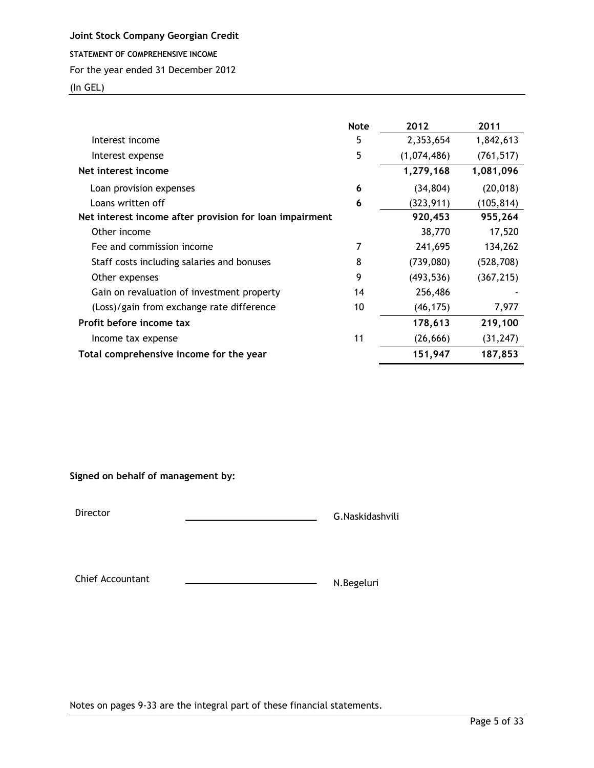<span id="page-4-0"></span>**STATEMENT OF COMPREHENSIVE INCOME**

### For the year ended 31 December 2012

(In GEL)

|                                                         | <b>Note</b> | 2012        | 2011       |
|---------------------------------------------------------|-------------|-------------|------------|
| Interest income                                         | 5           | 2,353,654   | 1,842,613  |
| Interest expense                                        | 5           | (1,074,486) | (761, 517) |
| Net interest income                                     |             | 1,279,168   | 1,081,096  |
| Loan provision expenses                                 | 6           | (34, 804)   | (20, 018)  |
| Loans written off                                       | 6           | (323, 911)  | (105, 814) |
| Net interest income after provision for loan impairment |             | 920,453     | 955,264    |
| Other income                                            |             | 38,770      | 17,520     |
| Fee and commission income                               |             | 241,695     | 134,262    |
| Staff costs including salaries and bonuses              | 8           | (739,080)   | (528, 708) |
| Other expenses                                          | 9           | (493, 536)  | (367, 215) |
| Gain on revaluation of investment property              | 14          | 256,486     |            |
| (Loss)/gain from exchange rate difference               | 10          | (46, 175)   | 7,977      |
| Profit before income tax                                |             | 178,613     | 219,100    |
| Income tax expense                                      | 11          | (26, 666)   | (31, 247)  |
| Total comprehensive income for the year                 |             | 151,947     | 187,853    |

## **Signed on behalf of management by:**

Director G.Naskidashvili

Chief Accountant N.Begeluri

Notes on pages 9-33 are the integral part of these financial statements.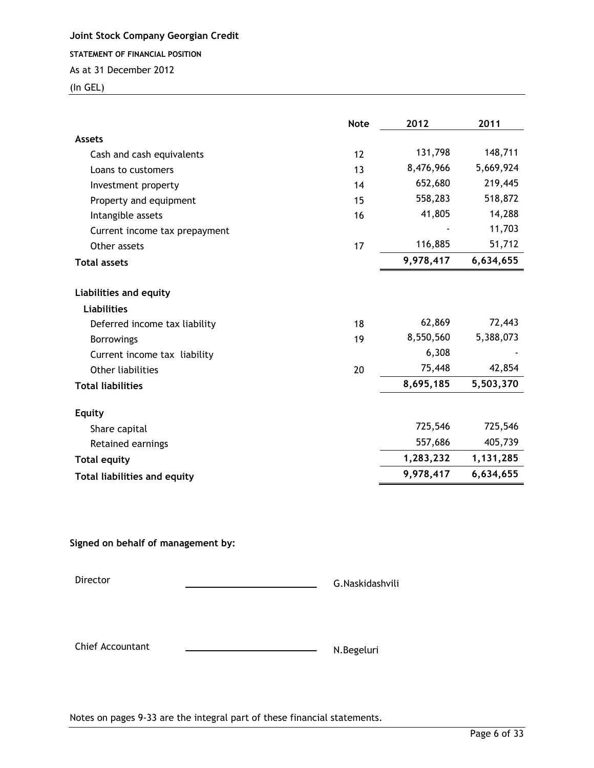<span id="page-5-0"></span>**STATEMENT OF FINANCIAL POSITION**

As at 31 December 2012

(In GEL)

|                                                   | <b>Note</b> | 2012      | 2011      |
|---------------------------------------------------|-------------|-----------|-----------|
| <b>Assets</b>                                     |             |           |           |
| Cash and cash equivalents                         | 12          | 131,798   | 148,711   |
| Loans to customers                                | 13          | 8,476,966 | 5,669,924 |
| Investment property                               | 14          | 652,680   | 219,445   |
| Property and equipment                            | 15          | 558,283   | 518,872   |
| Intangible assets                                 | 16          | 41,805    | 14,288    |
| Current income tax prepayment                     |             |           | 11,703    |
| Other assets                                      | 17          | 116,885   | 51,712    |
| <b>Total assets</b>                               |             | 9,978,417 | 6,634,655 |
| Liabilities and equity<br>Liabilities             |             |           |           |
|                                                   |             | 62,869    | 72,443    |
| Deferred income tax liability                     | 18          | 8,550,560 | 5,388,073 |
| <b>Borrowings</b><br>Current income tax liability | 19          | 6,308     |           |
| Other liabilities                                 | 20          | 75,448    | 42,854    |
| <b>Total liabilities</b>                          |             | 8,695,185 | 5,503,370 |
| <b>Equity</b>                                     |             |           |           |
| Share capital                                     |             | 725,546   | 725,546   |
| Retained earnings                                 |             | 557,686   | 405,739   |
| <b>Total equity</b>                               |             | 1,283,232 | 1,131,285 |
| <b>Total liabilities and equity</b>               |             | 9,978,417 | 6,634,655 |

**Signed on behalf of management by:**

Director G.Naskidashvili

Chief Accountant N.Begeluri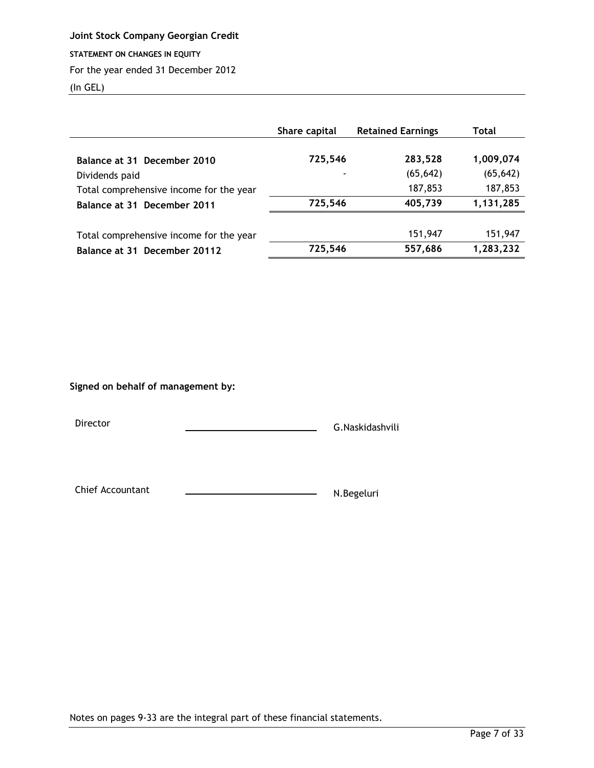<span id="page-6-0"></span>**STATEMENT ON CHANGES IN EQUITY**

## For the year ended 31 December 2012

(In GEL)

|                                                           | Share capital | <b>Retained Earnings</b> | Total                |
|-----------------------------------------------------------|---------------|--------------------------|----------------------|
| Balance at 31 December 2010                               | 725,546       | 283,528                  | 1,009,074            |
| Dividends paid<br>Total comprehensive income for the year |               | (65, 642)<br>187,853     | (65, 642)<br>187,853 |
| Balance at 31 December 2011                               | 725,546       | 405,739                  | 1,131,285            |
| Total comprehensive income for the year                   |               | 151,947                  | 151,947              |
| Balance at 31 December 20112                              | 725,546       | 557,686                  | 1,283,232            |

## **Signed on behalf of management by:**

Director G.Naskidashvili

Chief Accountant N.Begeluri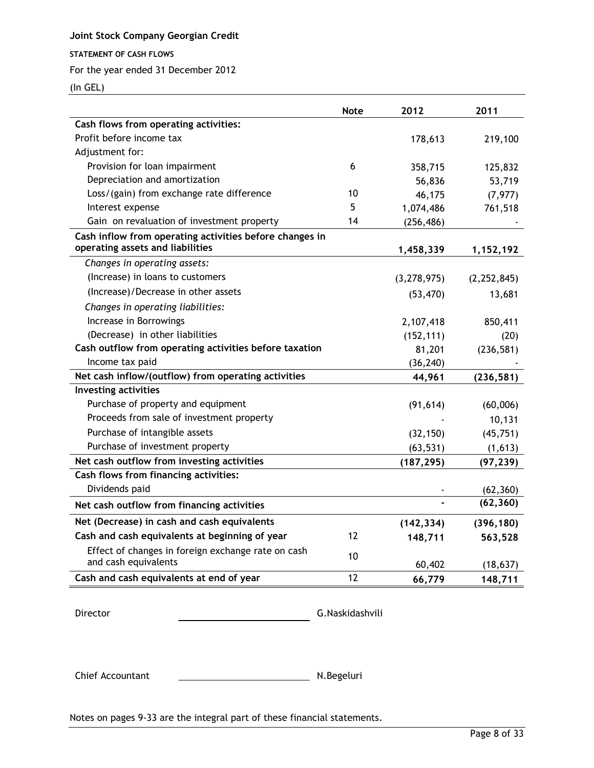## <span id="page-7-0"></span>**STATEMENT OF CASH FLOWS**

For the year ended 31 December 2012

(In GEL)

|                                                                            | <b>Note</b> | 2012          | 2011          |
|----------------------------------------------------------------------------|-------------|---------------|---------------|
| Cash flows from operating activities:                                      |             |               |               |
| Profit before income tax                                                   |             | 178,613       | 219,100       |
| Adjustment for:                                                            |             |               |               |
| Provision for loan impairment                                              | 6           | 358,715       | 125,832       |
| Depreciation and amortization                                              |             | 56,836        | 53,719        |
| Loss/(gain) from exchange rate difference                                  | 10          | 46,175        | (7, 977)      |
| Interest expense                                                           | 5           | 1,074,486     | 761,518       |
| Gain on revaluation of investment property                                 | 14          | (256, 486)    |               |
| Cash inflow from operating activities before changes in                    |             |               |               |
| operating assets and liabilities                                           |             | 1,458,339     | 1,152,192     |
| Changes in operating assets:                                               |             |               |               |
| (Increase) in loans to customers                                           |             | (3, 278, 975) | (2, 252, 845) |
| (Increase)/Decrease in other assets                                        |             | (53, 470)     | 13,681        |
| Changes in operating liabilities:                                          |             |               |               |
| Increase in Borrowings                                                     |             | 2,107,418     | 850,411       |
| (Decrease) in other liabilities                                            |             | (152, 111)    | (20)          |
| Cash outflow from operating activities before taxation                     |             | 81,201        | (236, 581)    |
| Income tax paid                                                            |             | (36, 240)     |               |
| Net cash inflow/(outflow) from operating activities                        |             | 44,961        | (236, 581)    |
| <b>Investing activities</b>                                                |             |               |               |
| Purchase of property and equipment                                         |             | (91, 614)     | (60,006)      |
| Proceeds from sale of investment property                                  |             |               | 10,131        |
| Purchase of intangible assets                                              |             | (32, 150)     | (45, 751)     |
| Purchase of investment property                                            |             | (63, 531)     | (1,613)       |
| Net cash outflow from investing activities                                 |             | (187, 295)    | (97, 239)     |
| Cash flows from financing activities:                                      |             |               |               |
| Dividends paid                                                             |             |               | (62, 360)     |
| Net cash outflow from financing activities                                 |             |               | (62, 360)     |
| Net (Decrease) in cash and cash equivalents                                |             | (142, 334)    | (396, 180)    |
| Cash and cash equivalents at beginning of year                             | 12          | 148,711       | 563,528       |
| Effect of changes in foreign exchange rate on cash<br>and cash equivalents | 10          | 60,402        | (18, 637)     |
| Cash and cash equivalents at end of year                                   | 12          | 66,779        | 148,711       |

Director G.Naskidashvili

Chief Accountant N.Begeluri

Notes on pages 9-33 are the integral part of these financial statements.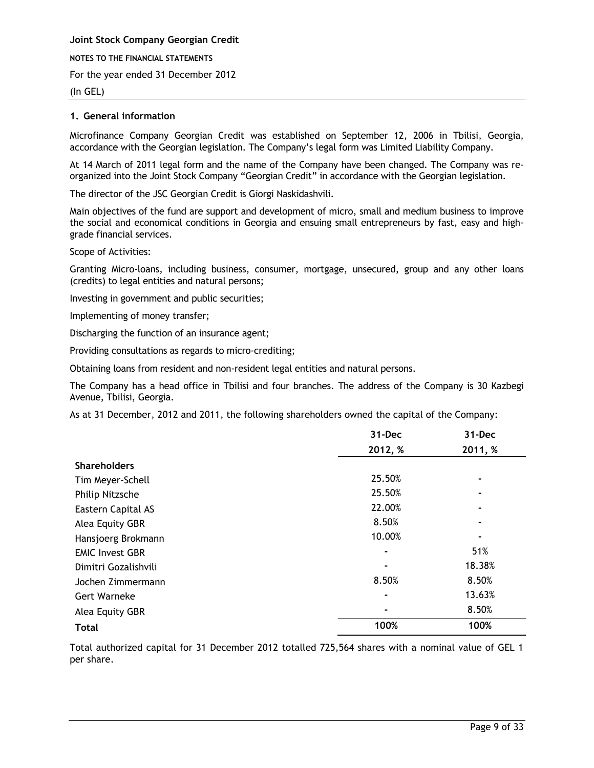**Joint Stock Company Georgian Credit NOTES TO THE FINANCIAL STATEMENTS**

For the year ended 31 December 2012

## (In GEL)

## <span id="page-8-0"></span>**1. General information**

Microfinance Company Georgian Credit was established on September 12, 2006 in Tbilisi, Georgia, accordance with the Georgian legislation. The Company's legal form was Limited Liability Company.

At 14 March of 2011 legal form and the name of the Company have been changed. The Company was reorganized into the Joint Stock Company "Georgian Credit" in accordance with the Georgian legislation.

The director of the JSC Georgian Credit is Giorgi Naskidashvili.

Main objectives of the fund are support and development of micro, small and medium business to improve the social and economical conditions in Georgia and ensuing small entrepreneurs by fast, easy and highgrade financial services.

Scope of Activities:

Granting Micro-loans, including business, consumer, mortgage, unsecured, group and any other loans (credits) to legal entities and natural persons;

Investing in government and public securities;

Implementing of money transfer;

Discharging the function of an insurance agent;

Providing consultations as regards to micro-crediting;

Obtaining loans from resident and non-resident legal entities and natural persons.

The Company has a head office in Tbilisi and four branches. The address of the Company is 30 Kazbegi Avenue, Tbilisi, Georgia.

As at 31 December, 2012 and 2011, the following shareholders owned the capital of the Company:

|                        | 31-Dec  | 31-Dec  |
|------------------------|---------|---------|
|                        | 2012, % | 2011, % |
| <b>Shareholders</b>    |         |         |
| Tim Meyer-Schell       | 25.50%  |         |
| Philip Nitzsche        | 25.50%  |         |
| Eastern Capital AS     | 22.00%  |         |
| Alea Equity GBR        | 8.50%   |         |
| Hansjoerg Brokmann     | 10.00%  |         |
| <b>EMIC Invest GBR</b> | ۰       | 51%     |
| Dimitri Gozalishvili   |         | 18.38%  |
| Jochen Zimmermann      | 8.50%   | 8.50%   |
| <b>Gert Warneke</b>    |         | 13.63%  |
| Alea Equity GBR        |         | 8.50%   |
| <b>Total</b>           | 100%    | 100%    |

Total authorized capital for 31 December 2012 totalled 725,564 shares with a nominal value of GEL 1 per share.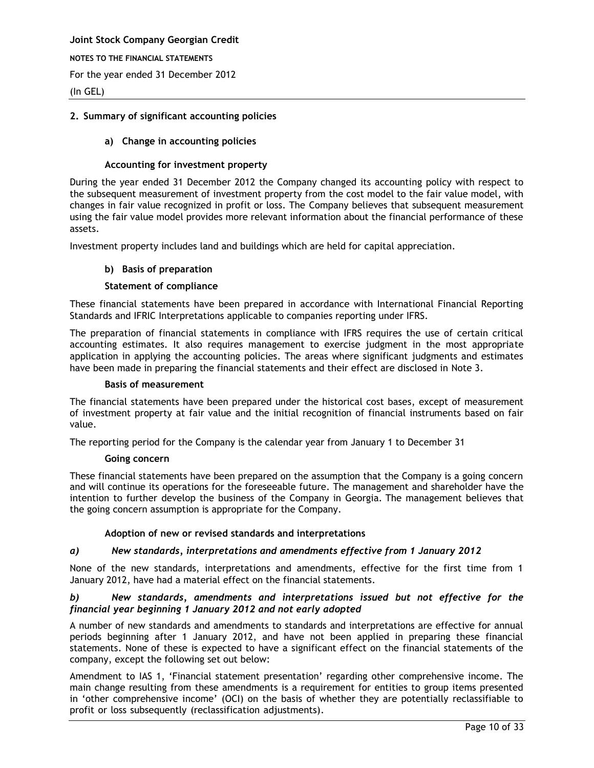**NOTES TO THE FINANCIAL STATEMENTS**

For the year ended 31 December 2012

(In GEL)

## <span id="page-9-0"></span>**2. Summary of significant accounting policies**

## **a) Change in accounting policies**

## **Accounting for investment property**

During the year ended 31 December 2012 the Company changed its accounting policy with respect to the subsequent measurement of investment property from the cost model to the fair value model, with changes in fair value recognized in profit or loss. The Company believes that subsequent measurement using the fair value model provides more relevant information about the financial performance of these assets.

Investment property includes land and buildings which are held for capital appreciation.

## **b) Basis of preparation**

## **Statement of compliance**

These financial statements have been prepared in accordance with International Financial Reporting Standards and IFRIC Interpretations applicable to companies reporting under IFRS.

The preparation of financial statements in compliance with IFRS requires the use of certain critical accounting estimates. It also requires management to exercise judgment in the most appropriate application in applying the accounting policies. The areas where significant judgments and estimates have been made in preparing the financial statements and their effect are disclosed in Note 3.

## **Basis of measurement**

The financial statements have been prepared under the historical cost bases, except of measurement of investment property at fair value and the initial recognition of financial instruments based on fair value.

The reporting period for the Company is the calendar year from January 1 to December 31

## **Going concern**

These financial statements have been prepared on the assumption that the Company is a going concern and will continue its operations for the foreseeable future. The management and shareholder have the intention to further develop the business of the Company in Georgia. The management believes that the going concern assumption is appropriate for the Company.

## **Adoption of new or revised standards and interpretations**

## *a) New standards, interpretations and amendments effective from 1 January 2012*

None of the new standards, interpretations and amendments, effective for the first time from 1 January 2012, have had a material effect on the financial statements.

## *b) New standards, amendments and interpretations issued but not effective for the financial year beginning 1 January 2012 and not early adopted*

A number of new standards and amendments to standards and interpretations are effective for annual periods beginning after 1 January 2012, and have not been applied in preparing these financial statements. None of these is expected to have a significant effect on the financial statements of the company, except the following set out below:

Amendment to IAS 1, 'Financial statement presentation' regarding other comprehensive income. The main change resulting from these amendments is a requirement for entities to group items presented in 'other comprehensive income' (OCI) on the basis of whether they are potentially reclassifiable to profit or loss subsequently (reclassification adjustments).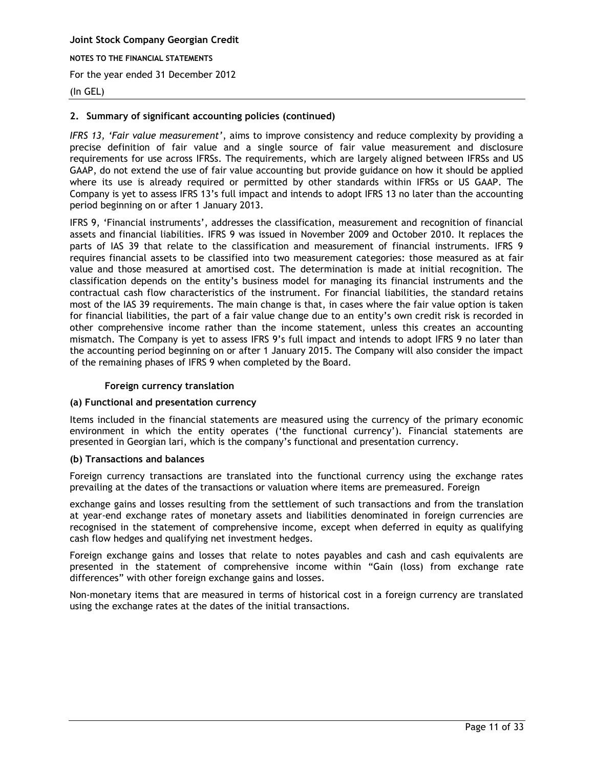#### (In GEL)

## **2. Summary of significant accounting policies (continued)**

*IFRS 13, 'Fair value measurement'*, aims to improve consistency and reduce complexity by providing a precise definition of fair value and a single source of fair value measurement and disclosure requirements for use across IFRSs. The requirements, which are largely aligned between IFRSs and US GAAP, do not extend the use of fair value accounting but provide guidance on how it should be applied where its use is already required or permitted by other standards within IFRSs or US GAAP. The Company is yet to assess IFRS 13's full impact and intends to adopt IFRS 13 no later than the accounting period beginning on or after 1 January 2013.

IFRS 9, 'Financial instruments', addresses the classification, measurement and recognition of financial assets and financial liabilities. IFRS 9 was issued in November 2009 and October 2010. It replaces the parts of IAS 39 that relate to the classification and measurement of financial instruments. IFRS 9 requires financial assets to be classified into two measurement categories: those measured as at fair value and those measured at amortised cost. The determination is made at initial recognition. The classification depends on the entity's business model for managing its financial instruments and the contractual cash flow characteristics of the instrument. For financial liabilities, the standard retains most of the IAS 39 requirements. The main change is that, in cases where the fair value option is taken for financial liabilities, the part of a fair value change due to an entity's own credit risk is recorded in other comprehensive income rather than the income statement, unless this creates an accounting mismatch. The Company is yet to assess IFRS 9's full impact and intends to adopt IFRS 9 no later than the accounting period beginning on or after 1 January 2015. The Company will also consider the impact of the remaining phases of IFRS 9 when completed by the Board.

#### **Foreign currency translation**

#### **(a) Functional and presentation currency**

Items included in the financial statements are measured using the currency of the primary economic environment in which the entity operates ('the functional currency'). Financial statements are presented in Georgian lari, which is the company's functional and presentation currency.

#### **(b) Transactions and balances**

Foreign currency transactions are translated into the functional currency using the exchange rates prevailing at the dates of the transactions or valuation where items are premeasured. Foreign

exchange gains and losses resulting from the settlement of such transactions and from the translation at year-end exchange rates of monetary assets and liabilities denominated in foreign currencies are recognised in the statement of comprehensive income, except when deferred in equity as qualifying cash flow hedges and qualifying net investment hedges.

Foreign exchange gains and losses that relate to notes payables and cash and cash equivalents are presented in the statement of comprehensive income within "Gain (loss) from exchange rate differences" with other foreign exchange gains and losses.

Non-monetary items that are measured in terms of historical cost in a foreign currency are translated using the exchange rates at the dates of the initial transactions.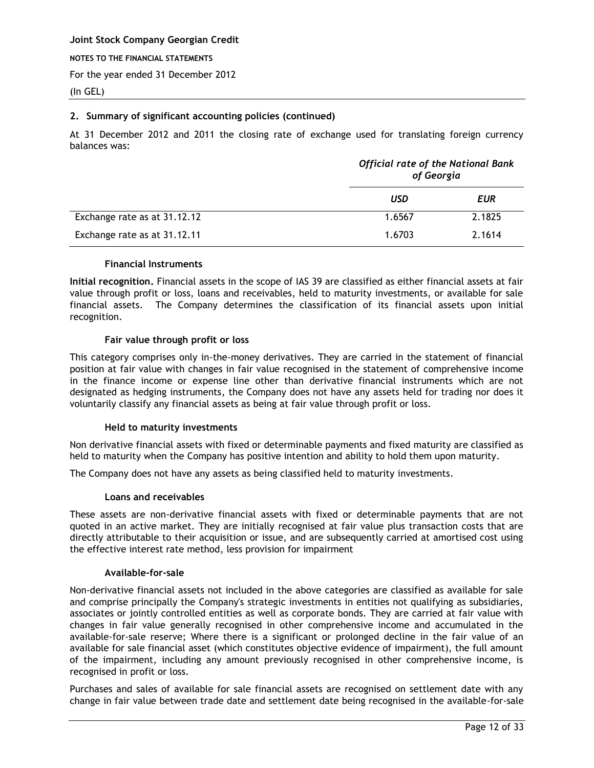**NOTES TO THE FINANCIAL STATEMENTS**

For the year ended 31 December 2012

(In GEL)

## **2. Summary of significant accounting policies (continued)**

At 31 December 2012 and 2011 the closing rate of exchange used for translating foreign currency balances was:

|                              |        | <b>Official rate of the National Bank</b><br>of Georgia |  |  |
|------------------------------|--------|---------------------------------------------------------|--|--|
|                              | USD    | EUR                                                     |  |  |
| Exchange rate as at 31.12.12 | 1.6567 | 2.1825                                                  |  |  |
| Exchange rate as at 31.12.11 | 1.6703 | 2.1614                                                  |  |  |

## **Financial Instruments**

**Initial recognition.** Financial assets in the scope of IAS 39 are classified as either financial assets at fair value through profit or loss, loans and receivables, held to maturity investments, or available for sale financial assets. The Company determines the classification of its financial assets upon initial recognition.

## **Fair value through profit or loss**

This category comprises only in-the-money derivatives. They are carried in the statement of financial position at fair value with changes in fair value recognised in the statement of comprehensive income in the finance income or expense line other than derivative financial instruments which are not designated as hedging instruments, the Company does not have any assets held for trading nor does it voluntarily classify any financial assets as being at fair value through profit or loss.

## **Held to maturity investments**

Non derivative financial assets with fixed or determinable payments and fixed maturity are classified as held to maturity when the Company has positive intention and ability to hold them upon maturity.

The Company does not have any assets as being classified held to maturity investments.

#### **Loans and receivables**

These assets are non-derivative financial assets with fixed or determinable payments that are not quoted in an active market. They are initially recognised at fair value plus transaction costs that are directly attributable to their acquisition or issue, and are subsequently carried at amortised cost using the effective interest rate method, less provision for impairment

#### **Available-for-sale**

Non-derivative financial assets not included in the above categories are classified as available for sale and comprise principally the Company's strategic investments in entities not qualifying as subsidiaries, associates or jointly controlled entities as well as corporate bonds. They are carried at fair value with changes in fair value generally recognised in other comprehensive income and accumulated in the available-for-sale reserve; Where there is a significant or prolonged decline in the fair value of an available for sale financial asset (which constitutes objective evidence of impairment), the full amount of the impairment, including any amount previously recognised in other comprehensive income, is recognised in profit or loss.

Purchases and sales of available for sale financial assets are recognised on settlement date with any change in fair value between trade date and settlement date being recognised in the available-for-sale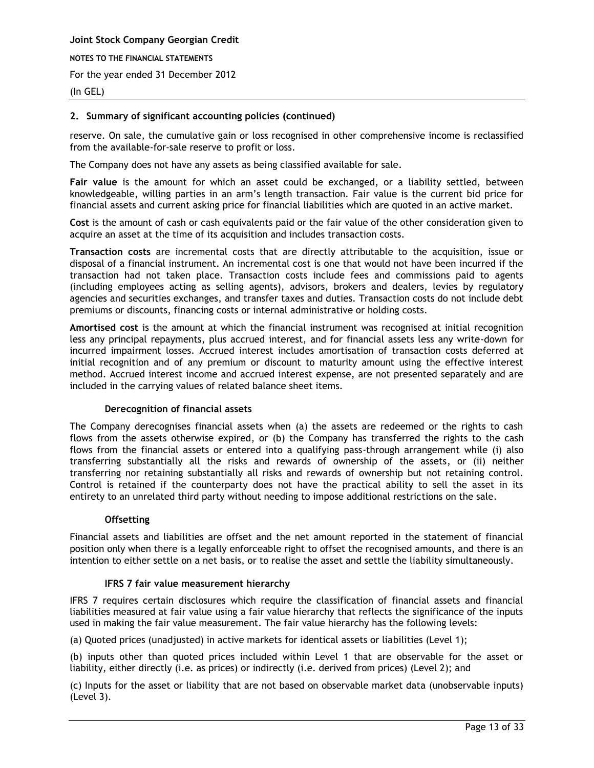## (In GEL)

## **2. Summary of significant accounting policies (continued)**

reserve. On sale, the cumulative gain or loss recognised in other comprehensive income is reclassified from the available-for-sale reserve to profit or loss.

The Company does not have any assets as being classified available for sale.

**Fair value** is the amount for which an asset could be exchanged, or a liability settled, between knowledgeable, willing parties in an arm's length transaction. Fair value is the current bid price for financial assets and current asking price for financial liabilities which are quoted in an active market.

**Cost** is the amount of cash or cash equivalents paid or the fair value of the other consideration given to acquire an asset at the time of its acquisition and includes transaction costs.

**Transaction costs** are incremental costs that are directly attributable to the acquisition, issue or disposal of a financial instrument. An incremental cost is one that would not have been incurred if the transaction had not taken place. Transaction costs include fees and commissions paid to agents (including employees acting as selling agents), advisors, brokers and dealers, levies by regulatory agencies and securities exchanges, and transfer taxes and duties. Transaction costs do not include debt premiums or discounts, financing costs or internal administrative or holding costs.

**Amortised cost** is the amount at which the financial instrument was recognised at initial recognition less any principal repayments, plus accrued interest, and for financial assets less any write-down for incurred impairment losses. Accrued interest includes amortisation of transaction costs deferred at initial recognition and of any premium or discount to maturity amount using the effective interest method. Accrued interest income and accrued interest expense, are not presented separately and are included in the carrying values of related balance sheet items.

#### **Derecognition of financial assets**

The Company derecognises financial assets when (a) the assets are redeemed or the rights to cash flows from the assets otherwise expired, or (b) the Company has transferred the rights to the cash flows from the financial assets or entered into a qualifying pass-through arrangement while (i) also transferring substantially all the risks and rewards of ownership of the assets, or (ii) neither transferring nor retaining substantially all risks and rewards of ownership but not retaining control. Control is retained if the counterparty does not have the practical ability to sell the asset in its entirety to an unrelated third party without needing to impose additional restrictions on the sale.

#### **Offsetting**

Financial assets and liabilities are offset and the net amount reported in the statement of financial position only when there is a legally enforceable right to offset the recognised amounts, and there is an intention to either settle on a net basis, or to realise the asset and settle the liability simultaneously.

#### **IFRS 7 fair value measurement hierarchy**

IFRS 7 requires certain disclosures which require the classification of financial assets and financial liabilities measured at fair value using a fair value hierarchy that reflects the significance of the inputs used in making the fair value measurement. The fair value hierarchy has the following levels:

(a) Quoted prices (unadjusted) in active markets for identical assets or liabilities (Level 1);

(b) inputs other than quoted prices included within Level 1 that are observable for the asset or liability, either directly (i.e. as prices) or indirectly (i.e. derived from prices) (Level 2); and

(c) Inputs for the asset or liability that are not based on observable market data (unobservable inputs) (Level 3).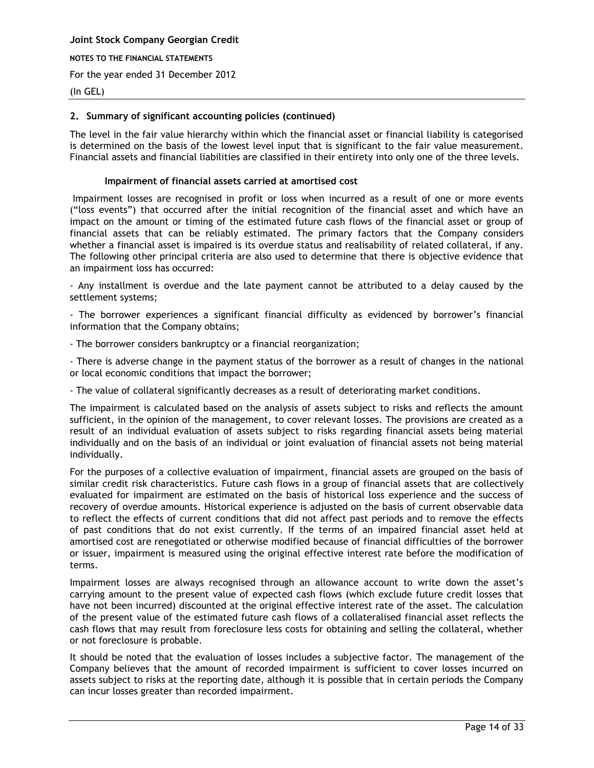## (In GEL)

## **2. Summary of significant accounting policies (continued)**

The level in the fair value hierarchy within which the financial asset or financial liability is categorised is determined on the basis of the lowest level input that is significant to the fair value measurement. Financial assets and financial liabilities are classified in their entirety into only one of the three levels.

## **Impairment of financial assets carried at amortised cost**

Impairment losses are recognised in profit or loss when incurred as a result of one or more events ("loss events") that occurred after the initial recognition of the financial asset and which have an impact on the amount or timing of the estimated future cash flows of the financial asset or group of financial assets that can be reliably estimated. The primary factors that the Company considers whether a financial asset is impaired is its overdue status and realisability of related collateral, if any. The following other principal criteria are also used to determine that there is objective evidence that an impairment loss has occurred:

- Any installment is overdue and the late payment cannot be attributed to a delay caused by the settlement systems;

- The borrower experiences a significant financial difficulty as evidenced by borrower's financial information that the Company obtains;

- The borrower considers bankruptcy or a financial reorganization;

- There is adverse change in the payment status of the borrower as a result of changes in the national or local economic conditions that impact the borrower;

- The value of collateral significantly decreases as a result of deteriorating market conditions.

The impairment is calculated based on the analysis of assets subject to risks and reflects the amount sufficient, in the opinion of the management, to cover relevant losses. The provisions are created as a result of an individual evaluation of assets subject to risks regarding financial assets being material individually and on the basis of an individual or joint evaluation of financial assets not being material individually.

For the purposes of a collective evaluation of impairment, financial assets are grouped on the basis of similar credit risk characteristics. Future cash flows in a group of financial assets that are collectively evaluated for impairment are estimated on the basis of historical loss experience and the success of recovery of overdue amounts. Historical experience is adjusted on the basis of current observable data to reflect the effects of current conditions that did not affect past periods and to remove the effects of past conditions that do not exist currently. If the terms of an impaired financial asset held at amortised cost are renegotiated or otherwise modified because of financial difficulties of the borrower or issuer, impairment is measured using the original effective interest rate before the modification of terms.

Impairment losses are always recognised through an allowance account to write down the asset's carrying amount to the present value of expected cash flows (which exclude future credit losses that have not been incurred) discounted at the original effective interest rate of the asset. The calculation of the present value of the estimated future cash flows of a collateralised financial asset reflects the cash flows that may result from foreclosure less costs for obtaining and selling the collateral, whether or not foreclosure is probable.

It should be noted that the evaluation of losses includes a subjective factor. The management of the Company believes that the amount of recorded impairment is sufficient to cover losses incurred on assets subject to risks at the reporting date, although it is possible that in certain periods the Company can incur losses greater than recorded impairment.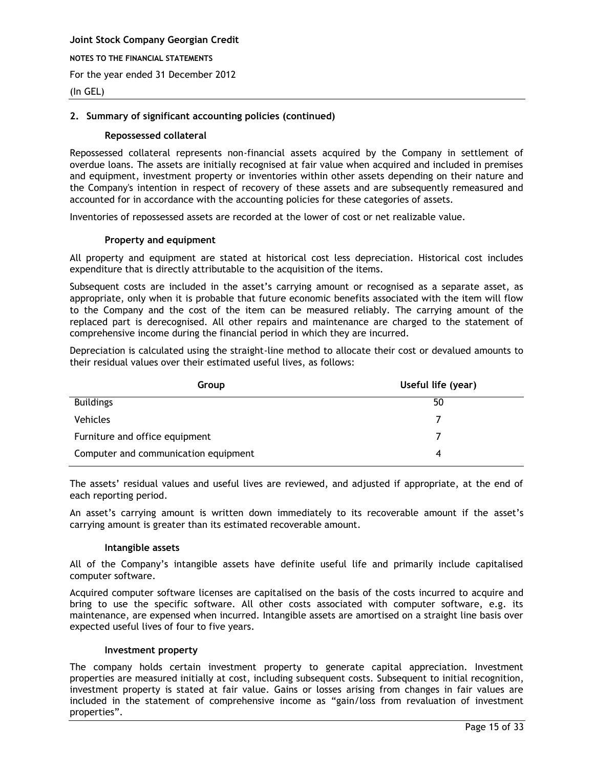## (In GEL)

#### **2. Summary of significant accounting policies (continued)**

#### **Repossessed collateral**

Repossessed collateral represents non-financial assets acquired by the Company in settlement of overdue loans. The assets are initially recognised at fair value when acquired and included in premises and equipment, investment property or inventories within other assets depending on their nature and the Company's intention in respect of recovery of these assets and are subsequently remeasured and accounted for in accordance with the accounting policies for these categories of assets.

Inventories of repossessed assets are recorded at the lower of cost or net realizable value.

#### **Property and equipment**

All property and equipment are stated at historical cost less depreciation. Historical cost includes expenditure that is directly attributable to the acquisition of the items.

Subsequent costs are included in the asset's carrying amount or recognised as a separate asset, as appropriate, only when it is probable that future economic benefits associated with the item will flow to the Company and the cost of the item can be measured reliably. The carrying amount of the replaced part is derecognised. All other repairs and maintenance are charged to the statement of comprehensive income during the financial period in which they are incurred.

Depreciation is calculated using the straight-line method to allocate their cost or devalued amounts to their residual values over their estimated useful lives, as follows:

| Group                                | Useful life (year) |
|--------------------------------------|--------------------|
| <b>Buildings</b>                     | 50                 |
| <b>Vehicles</b>                      |                    |
| Furniture and office equipment       |                    |
| Computer and communication equipment | 4                  |

The assets' residual values and useful lives are reviewed, and adjusted if appropriate, at the end of each reporting period.

An asset's carrying amount is written down immediately to its recoverable amount if the asset's carrying amount is greater than its estimated recoverable amount.

#### **Intangible assets**

All of the Company's intangible assets have definite useful life and primarily include capitalised computer software.

Acquired computer software licenses are capitalised on the basis of the costs incurred to acquire and bring to use the specific software. All other costs associated with computer software, e.g. its maintenance, are expensed when incurred. Intangible assets are amortised on a straight line basis over expected useful lives of four to five years.

#### **Investment property**

The company holds certain investment property to generate capital appreciation. Investment properties are measured initially at cost, including subsequent costs. Subsequent to initial recognition, investment property is stated at fair value. Gains or losses arising from changes in fair values are included in the statement of comprehensive income as "gain/loss from revaluation of investment properties".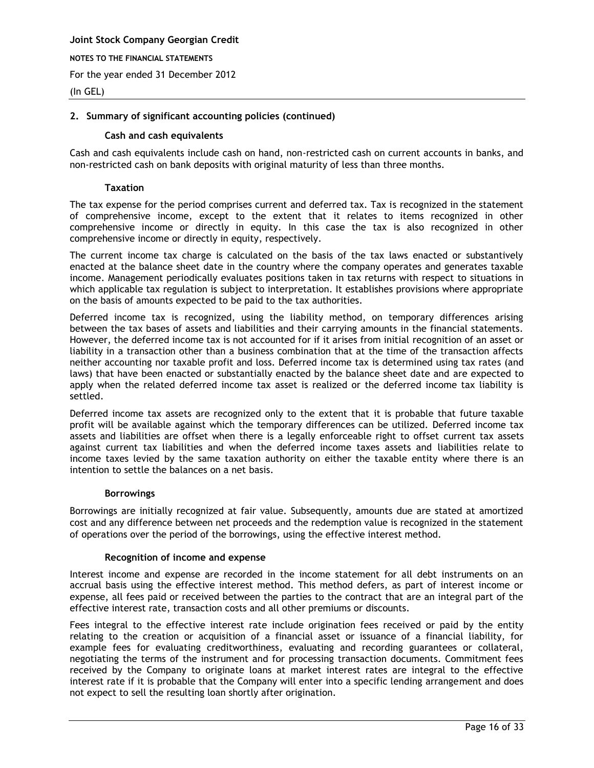**NOTES TO THE FINANCIAL STATEMENTS**

For the year ended 31 December 2012

#### (In GEL)

## **2. Summary of significant accounting policies (continued)**

#### **Cash and cash equivalents**

Cash and cash equivalents include cash on hand, non-restricted cash on current accounts in banks, and non-restricted cash on bank deposits with original maturity of less than three months.

#### **Taxation**

The tax expense for the period comprises current and deferred tax. Tax is recognized in the statement of comprehensive income, except to the extent that it relates to items recognized in other comprehensive income or directly in equity. In this case the tax is also recognized in other comprehensive income or directly in equity, respectively.

The current income tax charge is calculated on the basis of the tax laws enacted or substantively enacted at the balance sheet date in the country where the company operates and generates taxable income. Management periodically evaluates positions taken in tax returns with respect to situations in which applicable tax regulation is subject to interpretation. It establishes provisions where appropriate on the basis of amounts expected to be paid to the tax authorities.

Deferred income tax is recognized, using the liability method, on temporary differences arising between the tax bases of assets and liabilities and their carrying amounts in the financial statements. However, the deferred income tax is not accounted for if it arises from initial recognition of an asset or liability in a transaction other than a business combination that at the time of the transaction affects neither accounting nor taxable profit and loss. Deferred income tax is determined using tax rates (and laws) that have been enacted or substantially enacted by the balance sheet date and are expected to apply when the related deferred income tax asset is realized or the deferred income tax liability is settled.

Deferred income tax assets are recognized only to the extent that it is probable that future taxable profit will be available against which the temporary differences can be utilized. Deferred income tax assets and liabilities are offset when there is a legally enforceable right to offset current tax assets against current tax liabilities and when the deferred income taxes assets and liabilities relate to income taxes levied by the same taxation authority on either the taxable entity where there is an intention to settle the balances on a net basis.

#### **Borrowings**

Borrowings are initially recognized at fair value. Subsequently, amounts due are stated at amortized cost and any difference between net proceeds and the redemption value is recognized in the statement of operations over the period of the borrowings, using the effective interest method.

#### **Recognition of income and expense**

Interest income and expense are recorded in the income statement for all debt instruments on an accrual basis using the effective interest method. This method defers, as part of interest income or expense, all fees paid or received between the parties to the contract that are an integral part of the effective interest rate, transaction costs and all other premiums or discounts.

Fees integral to the effective interest rate include origination fees received or paid by the entity relating to the creation or acquisition of a financial asset or issuance of a financial liability, for example fees for evaluating creditworthiness, evaluating and recording guarantees or collateral, negotiating the terms of the instrument and for processing transaction documents. Commitment fees received by the Company to originate loans at market interest rates are integral to the effective interest rate if it is probable that the Company will enter into a specific lending arrangement and does not expect to sell the resulting loan shortly after origination.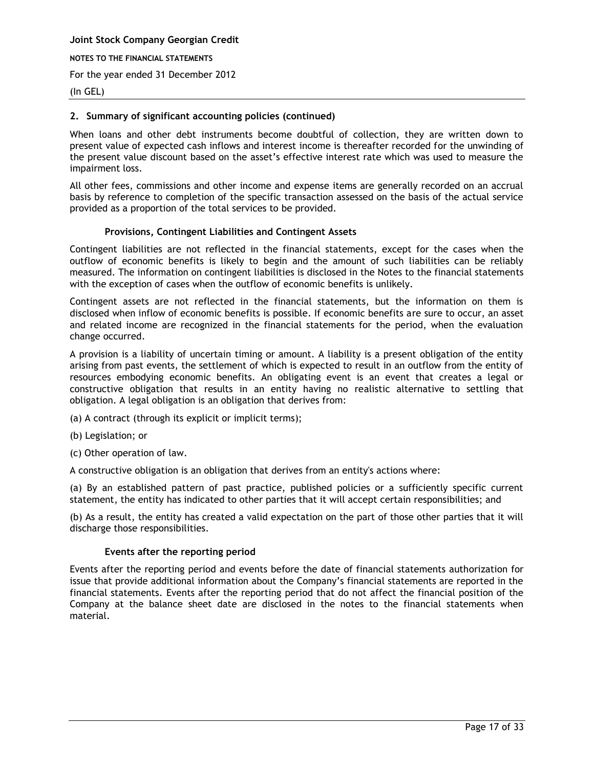**Joint Stock Company Georgian Credit NOTES TO THE FINANCIAL STATEMENTS**

For the year ended 31 December 2012

## (In GEL)

## **2. Summary of significant accounting policies (continued)**

When loans and other debt instruments become doubtful of collection, they are written down to present value of expected cash inflows and interest income is thereafter recorded for the unwinding of the present value discount based on the asset's effective interest rate which was used to measure the impairment loss.

All other fees, commissions and other income and expense items are generally recorded on an accrual basis by reference to completion of the specific transaction assessed on the basis of the actual service provided as a proportion of the total services to be provided.

## **Provisions, Contingent Liabilities and Contingent Assets**

Contingent liabilities are not reflected in the financial statements, except for the cases when the outflow of economic benefits is likely to begin and the amount of such liabilities can be reliably measured. The information on contingent liabilities is disclosed in the Notes to the financial statements with the exception of cases when the outflow of economic benefits is unlikely.

Contingent assets are not reflected in the financial statements, but the information on them is disclosed when inflow of economic benefits is possible. If economic benefits are sure to occur, an asset and related income are recognized in the financial statements for the period, when the evaluation change occurred.

A provision is a liability of uncertain timing or amount. A liability is a present obligation of the entity arising from past events, the settlement of which is expected to result in an outflow from the entity of resources embodying economic benefits. An obligating event is an event that creates a legal or constructive obligation that results in an entity having no realistic alternative to settling that obligation. A legal obligation is an obligation that derives from:

(a) A contract (through its explicit or implicit terms);

- (b) Legislation; or
- (c) Other operation of law.

A constructive obligation is an obligation that derives from an entity's actions where:

(a) By an established pattern of past practice, published policies or a sufficiently specific current statement, the entity has indicated to other parties that it will accept certain responsibilities; and

(b) As a result, the entity has created a valid expectation on the part of those other parties that it will discharge those responsibilities.

#### **Events after the reporting period**

Events after the reporting period and events before the date of financial statements authorization for issue that provide additional information about the Company's financial statements are reported in the financial statements. Events after the reporting period that do not affect the financial position of the Company at the balance sheet date are disclosed in the notes to the financial statements when material.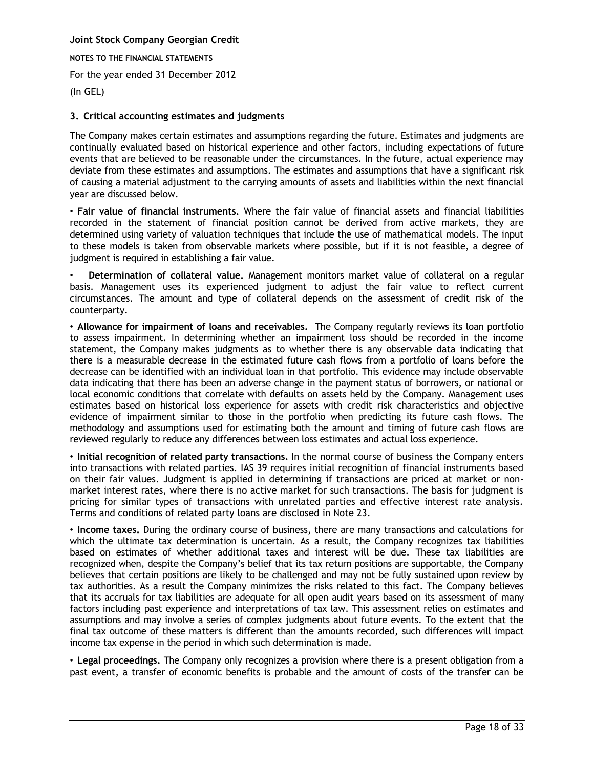## (In GEL)

#### <span id="page-17-0"></span>**3. Critical accounting estimates and judgments**

The Company makes certain estimates and assumptions regarding the future. Estimates and judgments are continually evaluated based on historical experience and other factors, including expectations of future events that are believed to be reasonable under the circumstances. In the future, actual experience may deviate from these estimates and assumptions. The estimates and assumptions that have a significant risk of causing a material adjustment to the carrying amounts of assets and liabilities within the next financial year are discussed below.

• **Fair value of financial instruments.** Where the fair value of financial assets and financial liabilities recorded in the statement of financial position cannot be derived from active markets, they are determined using variety of valuation techniques that include the use of mathematical models. The input to these models is taken from observable markets where possible, but if it is not feasible, a degree of judgment is required in establishing a fair value.

• **Determination of collateral value.** Management monitors market value of collateral on a regular basis. Management uses its experienced judgment to adjust the fair value to reflect current circumstances. The amount and type of collateral depends on the assessment of credit risk of the counterparty.

• **Allowance for impairment of loans and receivables.** The Company regularly reviews its loan portfolio to assess impairment. In determining whether an impairment loss should be recorded in the income statement, the Company makes judgments as to whether there is any observable data indicating that there is a measurable decrease in the estimated future cash flows from a portfolio of loans before the decrease can be identified with an individual loan in that portfolio. This evidence may include observable data indicating that there has been an adverse change in the payment status of borrowers, or national or local economic conditions that correlate with defaults on assets held by the Company. Management uses estimates based on historical loss experience for assets with credit risk characteristics and objective evidence of impairment similar to those in the portfolio when predicting its future cash flows. The methodology and assumptions used for estimating both the amount and timing of future cash flows are reviewed regularly to reduce any differences between loss estimates and actual loss experience.

• **Initial recognition of related party transactions.** In the normal course of business the Company enters into transactions with related parties. IAS 39 requires initial recognition of financial instruments based on their fair values. Judgment is applied in determining if transactions are priced at market or nonmarket interest rates, where there is no active market for such transactions. The basis for judgment is pricing for similar types of transactions with unrelated parties and effective interest rate analysis. Terms and conditions of related party loans are disclosed in Note 23.

• **Income taxes.** During the ordinary course of business, there are many transactions and calculations for which the ultimate tax determination is uncertain. As a result, the Company recognizes tax liabilities based on estimates of whether additional taxes and interest will be due. These tax liabilities are recognized when, despite the Company's belief that its tax return positions are supportable, the Company believes that certain positions are likely to be challenged and may not be fully sustained upon review by tax authorities. As a result the Company minimizes the risks related to this fact. The Company believes that its accruals for tax liabilities are adequate for all open audit years based on its assessment of many factors including past experience and interpretations of tax law. This assessment relies on estimates and assumptions and may involve a series of complex judgments about future events. To the extent that the final tax outcome of these matters is different than the amounts recorded, such differences will impact income tax expense in the period in which such determination is made.

• **Legal proceedings.** The Company only recognizes a provision where there is a present obligation from a past event, a transfer of economic benefits is probable and the amount of costs of the transfer can be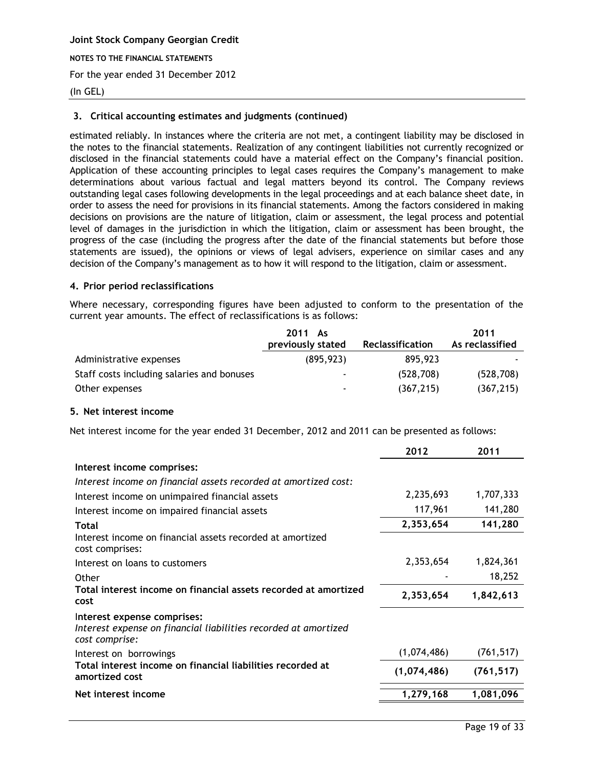#### (In GEL)

## **3. Critical accounting estimates and judgments (continued)**

estimated reliably. In instances where the criteria are not met, a contingent liability may be disclosed in the notes to the financial statements. Realization of any contingent liabilities not currently recognized or disclosed in the financial statements could have a material effect on the Company's financial position. Application of these accounting principles to legal cases requires the Company's management to make determinations about various factual and legal matters beyond its control. The Company reviews outstanding legal cases following developments in the legal proceedings and at each balance sheet date, in order to assess the need for provisions in its financial statements. Among the factors considered in making decisions on provisions are the nature of litigation, claim or assessment, the legal process and potential level of damages in the jurisdiction in which the litigation, claim or assessment has been brought, the progress of the case (including the progress after the date of the financial statements but before those statements are issued), the opinions or views of legal advisers, experience on similar cases and any decision of the Company's management as to how it will respond to the litigation, claim or assessment.

#### <span id="page-18-0"></span>**4. Prior period reclassifications**

Where necessary, corresponding figures have been adjusted to conform to the presentation of the current year amounts. The effect of reclassifications is as follows:

|                                            | 2011 As<br>previously stated | Reclassification | 2011<br>As reclassified |
|--------------------------------------------|------------------------------|------------------|-------------------------|
| Administrative expenses                    | (895, 923)                   | 895,923          |                         |
| Staff costs including salaries and bonuses |                              | (528, 708)       | (528, 708)              |
| Other expenses                             |                              | (367, 215)       | (367, 215)              |

#### <span id="page-18-1"></span>**5. Net interest income**

Net interest income for the year ended 31 December, 2012 and 2011 can be presented as follows:

| 2012        | 2011       |
|-------------|------------|
|             |            |
|             |            |
| 2,235,693   | 1,707,333  |
| 117,961     | 141,280    |
| 2,353,654   | 141,280    |
|             |            |
| 2,353,654   | 1,824,361  |
|             | 18,252     |
| 2,353,654   | 1,842,613  |
|             |            |
| (1,074,486) | (761, 517) |
| (1,074,486) | (761, 517) |
| 1,279,168   | 1,081,096  |
|             |            |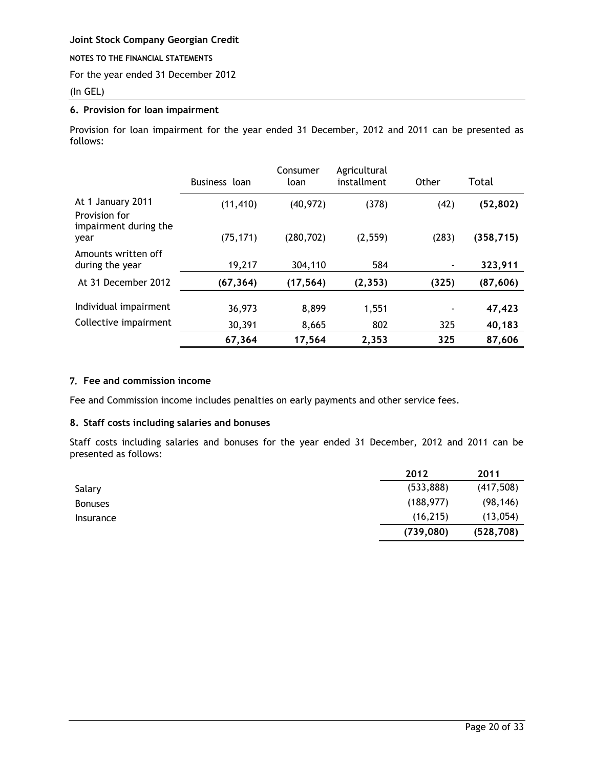#### **NOTES TO THE FINANCIAL STATEMENTS**

For the year ended 31 December 2012

## (In GEL)

## <span id="page-19-0"></span>**6. Provision for loan impairment**

Provision for loan impairment for the year ended 31 December, 2012 and 2011 can be presented as follows:

|                                                             | Business loan | Consumer<br>loan | Agricultural<br>installment | Other | Total      |
|-------------------------------------------------------------|---------------|------------------|-----------------------------|-------|------------|
| At 1 January 2011<br>Provision for<br>impairment during the | (11, 410)     | (40, 972)        | (378)                       | (42)  | (52, 802)  |
| year                                                        | (75, 171)     | (280, 702)       | (2, 559)                    | (283) | (358, 715) |
| Amounts written off<br>during the year                      | 19,217        | 304,110          | 584                         |       | 323,911    |
| At 31 December 2012                                         | (67, 364)     | (17, 564)        | (2, 353)                    | (325) | (87,606)   |
| Individual impairment                                       | 36,973        | 8,899            | 1,551                       |       | 47,423     |
| Collective impairment                                       | 30,391        | 8,665            | 802                         | 325   | 40,183     |
|                                                             | 67,364        | 17,564           | 2,353                       | 325   | 87,606     |

## <span id="page-19-1"></span>7. **Fee and commission income**

Fee and Commission income includes penalties on early payments and other service fees.

## <span id="page-19-2"></span>**8. Staff costs including salaries and bonuses**

Staff costs including salaries and bonuses for the year ended 31 December, 2012 and 2011 can be presented as follows:

<span id="page-19-3"></span>

|                | 2012       | 2011       |
|----------------|------------|------------|
| Salary         | (533, 888) | (417,508)  |
| <b>Bonuses</b> | (188, 977) | (98, 146)  |
| Insurance      | (16, 215)  | (13,054)   |
|                | (739,080)  | (528, 708) |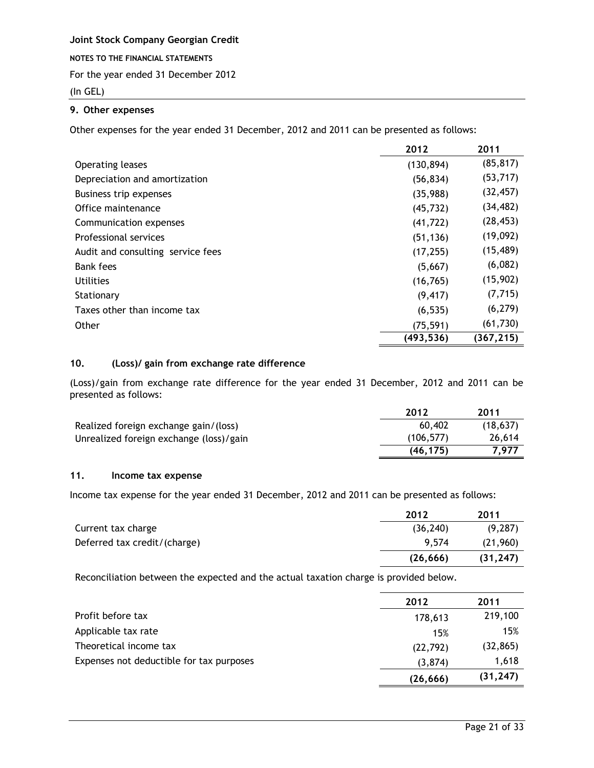**NOTES TO THE FINANCIAL STATEMENTS**

For the year ended 31 December 2012

## (In GEL)

## **9. Other expenses**

Other expenses for the year ended 31 December, 2012 and 2011 can be presented as follows:

|                                   | 2012       | 2011      |
|-----------------------------------|------------|-----------|
| Operating leases                  | (130, 894) | (85, 817) |
| Depreciation and amortization     | (56, 834)  | (53, 717) |
| Business trip expenses            | (35,988)   | (32, 457) |
| Office maintenance                | (45, 732)  | (34, 482) |
| Communication expenses            | (41, 722)  | (28, 453) |
| Professional services             | (51, 136)  | (19,092)  |
| Audit and consulting service fees | (17, 255)  | (15, 489) |
| Bank fees                         | (5,667)    | (6,082)   |
| <b>Utilities</b>                  | (16, 765)  | (15,902)  |
| Stationary                        | (9, 417)   | (7, 715)  |
| Taxes other than income tax       | (6, 535)   | (6, 279)  |
| Other                             | (75, 591)  | (61, 730) |
|                                   | (493, 536) | (367,215) |

## <span id="page-20-0"></span>**10. (Loss)/ gain from exchange rate difference**

(Loss)/gain from exchange rate difference for the year ended 31 December, 2012 and 2011 can be presented as follows:

|                                         | 2012       | 2011     |
|-----------------------------------------|------------|----------|
| Realized foreign exchange gain/(loss)   | 60,402     | (18.637) |
| Unrealized foreign exchange (loss)/gain | (106, 577) | 26,614   |
|                                         | (46.175)   | 7.977    |

## <span id="page-20-1"></span>**11. Income tax expense**

Income tax expense for the year ended 31 December, 2012 and 2011 can be presented as follows:

|                              | 2012      | 2011      |
|------------------------------|-----------|-----------|
| Current tax charge           | (36, 240) | (9, 287)  |
| Deferred tax credit/(charge) | 9.574     | (21,960)  |
|                              | (26, 666) | (31, 247) |

Reconciliation between the expected and the actual taxation charge is provided below.

|                                          | 2012      | 2011      |
|------------------------------------------|-----------|-----------|
| Profit before tax                        | 178,613   | 219,100   |
| Applicable tax rate                      | 15%       | 15%       |
| Theoretical income tax                   | (22, 792) | (32, 865) |
| Expenses not deductible for tax purposes | (3,874)   | 1,618     |
|                                          | (26, 666) | (31, 247) |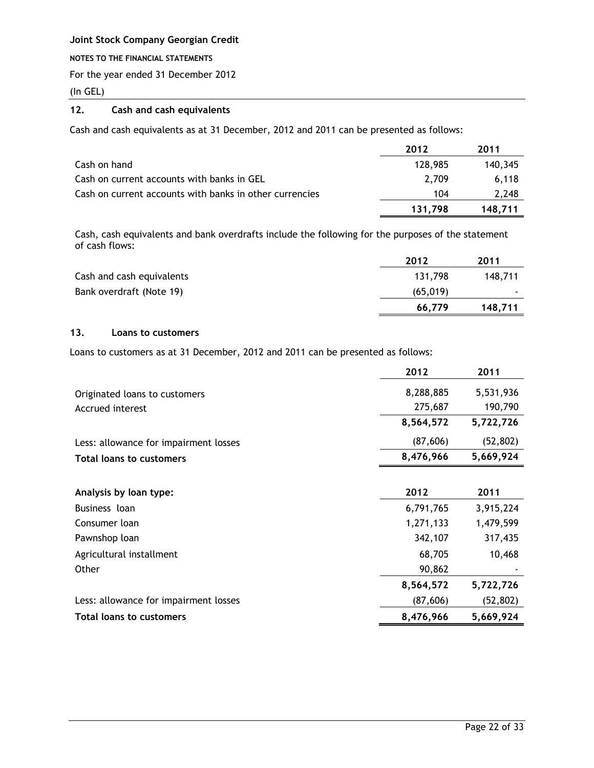### **NOTES TO THE FINANCIAL STATEMENTS**

For the year ended 31 December 2012

(In GEL)

## <span id="page-21-0"></span>**12. Cash and cash equivalents**

Cash and cash equivalents as at 31 December, 2012 and 2011 can be presented as follows:

|                                                         | 2012    | 2011    |
|---------------------------------------------------------|---------|---------|
| Cash on hand                                            | 128,985 | 140,345 |
| Cash on current accounts with banks in GEL              | 2.709   | 6.118   |
| Cash on current accounts with banks in other currencies | 104     | 2,248   |
|                                                         | 131.798 | 148.711 |

Cash, cash equivalents and bank overdrafts include the following for the purposes of the statement of cash flows:

|                           | 2012      | 2011                     |
|---------------------------|-----------|--------------------------|
| Cash and cash equivalents | 131.798   | 148,711                  |
| Bank overdraft (Note 19)  | (65, 019) | $\overline{\phantom{0}}$ |
|                           | 66,779    | 148,711                  |

## <span id="page-21-1"></span>**13. Loans to customers**

Loans to customers as at 31 December, 2012 and 2011 can be presented as follows:

|                                       | 2012      | 2011      |
|---------------------------------------|-----------|-----------|
| Originated loans to customers         | 8,288,885 | 5,531,936 |
| Accrued interest                      | 275,687   | 190,790   |
|                                       | 8,564,572 | 5,722,726 |
| Less: allowance for impairment losses | (87,606)  | (52, 802) |
| <b>Total loans to customers</b>       | 8,476,966 | 5,669,924 |
|                                       |           |           |
| Analysis by loan type:                | 2012      | 2011      |
| Business loan                         | 6,791,765 | 3,915,224 |
| Consumer loan                         | 1,271,133 | 1,479,599 |
| Pawnshop loan                         | 342,107   | 317,435   |
| Agricultural installment              | 68,705    | 10,468    |
| Other                                 | 90,862    |           |
|                                       | 8,564,572 | 5,722,726 |
| Less: allowance for impairment losses | (87,606)  | (52, 802) |
| <b>Total loans to customers</b>       | 8,476,966 | 5,669,924 |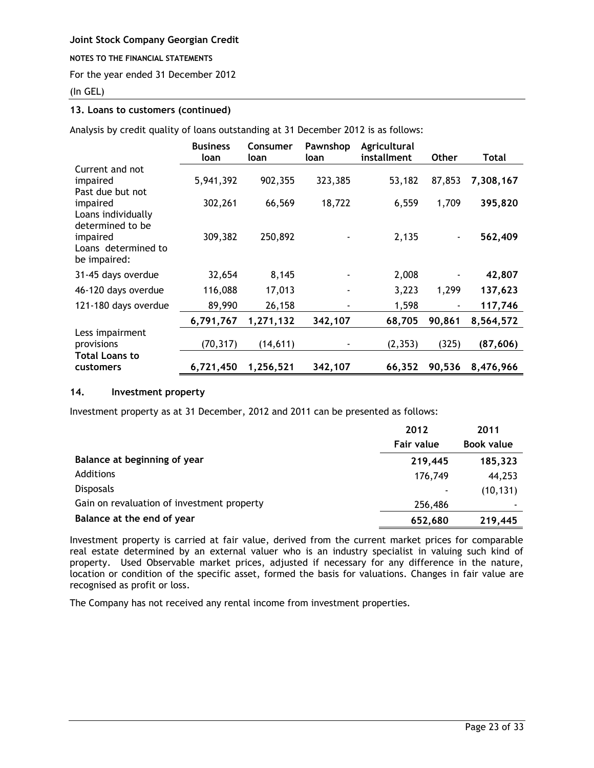#### **NOTES TO THE FINANCIAL STATEMENTS**

For the year ended 31 December 2012

## (In GEL)

## **13. Loans to customers (continued)**

Analysis by credit quality of loans outstanding at 31 December 2012 is as follows:

|                                                    | <b>Business</b><br>loan | <b>Consumer</b><br>loan | Pawnshop<br>loan | Agricultural<br>installment | <b>Other</b> | Total     |
|----------------------------------------------------|-------------------------|-------------------------|------------------|-----------------------------|--------------|-----------|
| Current and not<br>impaired<br>Past due but not    | 5,941,392               | 902,355                 | 323,385          | 53,182                      | 87,853       | 7,308,167 |
| impaired<br>Loans individually<br>determined to be | 302,261                 | 66,569                  | 18,722           | 6,559                       | 1,709        | 395,820   |
| impaired<br>Loans determined to<br>be impaired:    | 309,382                 | 250,892                 |                  | 2,135                       |              | 562,409   |
| 31-45 days overdue                                 | 32,654                  | 8,145                   |                  | 2,008                       |              | 42,807    |
| 46-120 days overdue                                | 116,088                 | 17,013                  |                  | 3,223                       | 1,299        | 137,623   |
| 121-180 days overdue                               | 89,990                  | 26,158                  |                  | 1,598                       |              | 117,746   |
|                                                    | 6,791,767               | 1,271,132               | 342,107          | 68,705                      | 90,861       | 8,564,572 |
| Less impairment<br>provisions                      | (70, 317)               | (14, 611)               |                  | (2, 353)                    | (325)        | (87,606)  |
| <b>Total Loans to</b><br>customers                 | 6,721,450               | 1,256,521               | 342,107          | 66,352                      | 90,536       | 8,476,966 |

### <span id="page-22-0"></span>**14. Investment property**

Investment property as at 31 December, 2012 and 2011 can be presented as follows:

|                                            | 2012       | 2011                     |
|--------------------------------------------|------------|--------------------------|
|                                            | Fair value | <b>Book value</b>        |
| Balance at beginning of year               | 219,445    | 185,323                  |
| Additions                                  | 176,749    | 44,253                   |
| <b>Disposals</b>                           | ۰          | (10, 131)                |
| Gain on revaluation of investment property | 256,486    | $\overline{\phantom{a}}$ |
| Balance at the end of year                 | 652,680    | 219,445                  |

Investment property is carried at fair value, derived from the current market prices for comparable real estate determined by an external valuer who is an industry specialist in valuing such kind of property. Used Observable market prices, adjusted if necessary for any difference in the nature, location or condition of the specific asset, formed the basis for valuations. Changes in fair value are recognised as profit or loss.

The Company has not received any rental income from investment properties.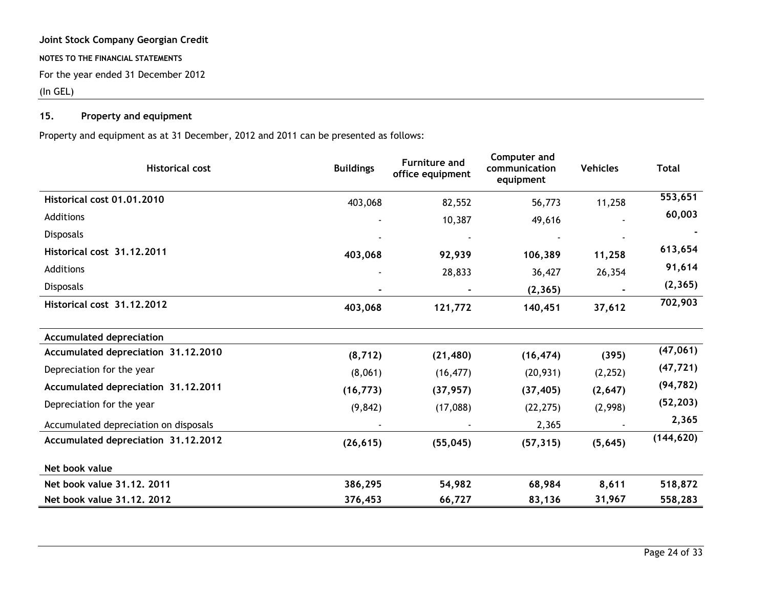## (In GEL)

## **15. Property and equipment**

Property and equipment as at 31 December, 2012 and 2011 can be presented as follows:

<span id="page-23-0"></span>

| <b>Historical cost</b>                | <b>Buildings</b> | <b>Furniture and</b><br>office equipment | Computer and<br>communication<br>equipment | <b>Vehicles</b> | <b>Total</b> |
|---------------------------------------|------------------|------------------------------------------|--------------------------------------------|-----------------|--------------|
| Historical cost 01.01.2010            | 403,068          | 82,552                                   | 56,773                                     | 11,258          | 553,651      |
| Additions                             |                  | 10,387                                   | 49,616                                     |                 | 60,003       |
| Disposals                             |                  |                                          |                                            |                 |              |
| Historical cost 31.12.2011            | 403,068          | 92,939                                   | 106,389                                    | 11,258          | 613,654      |
| Additions                             |                  | 28,833                                   | 36,427                                     | 26,354          | 91,614       |
| <b>Disposals</b>                      |                  |                                          | (2, 365)                                   |                 | (2, 365)     |
| Historical cost 31.12.2012            | 403,068          | 121,772                                  | 140,451                                    | 37,612          | 702,903      |
| <b>Accumulated depreciation</b>       |                  |                                          |                                            |                 |              |
| Accumulated depreciation 31.12.2010   | (8, 712)         | (21, 480)                                | (16, 474)                                  | (395)           | (47,061)     |
| Depreciation for the year             | (8,061)          | (16, 477)                                | (20, 931)                                  | (2, 252)        | (47, 721)    |
| Accumulated depreciation 31.12.2011   | (16, 773)        | (37, 957)                                | (37, 405)                                  | (2,647)         | (94, 782)    |
| Depreciation for the year             | (9, 842)         | (17,088)                                 | (22, 275)                                  | (2,998)         | (52, 203)    |
| Accumulated depreciation on disposals |                  |                                          | 2,365                                      |                 | 2,365        |
| Accumulated depreciation 31.12.2012   | (26, 615)        | (55, 045)                                | (57, 315)                                  | (5,645)         | (144, 620)   |
| Net book value                        |                  |                                          |                                            |                 |              |
| Net book value 31.12, 2011            | 386,295          | 54,982                                   | 68,984                                     | 8,611           | 518,872      |
| Net book value 31.12. 2012            | 376,453          | 66,727                                   | 83,136                                     | 31,967          | 558,283      |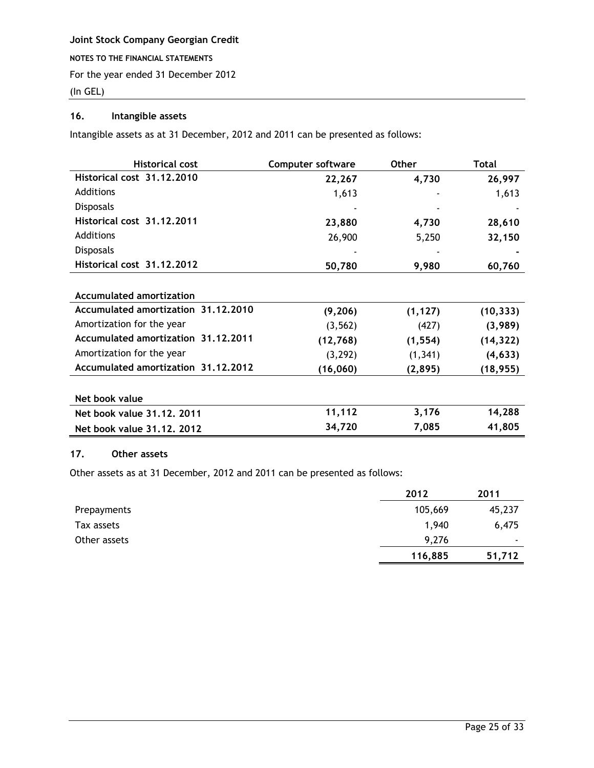(In GEL)

## <span id="page-24-0"></span>**16. Intangible assets**

Intangible assets as at 31 December, 2012 and 2011 can be presented as follows:

| <b>Historical cost</b>              | <b>Computer software</b> | <b>Other</b> | Total     |
|-------------------------------------|--------------------------|--------------|-----------|
| Historical cost 31.12.2010          | 22,267                   | 4,730        | 26,997    |
| Additions                           | 1,613                    |              | 1,613     |
| <b>Disposals</b>                    |                          |              |           |
| Historical cost 31.12.2011          | 23,880                   | 4,730        | 28,610    |
| Additions                           | 26,900                   | 5,250        | 32,150    |
| <b>Disposals</b>                    |                          |              |           |
| Historical cost 31.12.2012          | 50,780                   | 9,980        | 60,760    |
|                                     |                          |              |           |
| <b>Accumulated amortization</b>     |                          |              |           |
| Accumulated amortization 31.12.2010 | (9, 206)                 | (1, 127)     | (10, 333) |
| Amortization for the year           | (3, 562)                 | (427)        | (3,989)   |
| Accumulated amortization 31,12,2011 | (12, 768)                | (1, 554)     | (14, 322) |
| Amortization for the year           | (3, 292)                 | (1, 341)     | (4, 633)  |
| Accumulated amortization 31,12,2012 | (16, 060)                | (2,895)      | (18, 955) |
|                                     |                          |              |           |
| Net book value                      |                          |              |           |
| Net book value 31.12, 2011          | 11,112                   | 3,176        | 14,288    |
| Net book value 31,12, 2012          | 34,720                   | 7,085        | 41,805    |

## <span id="page-24-1"></span>**17. Other assets**

Other assets as at 31 December, 2012 and 2011 can be presented as follows:

|              | 2012    | 2011                     |
|--------------|---------|--------------------------|
| Prepayments  | 105,669 | 45,237                   |
| Tax assets   | 1,940   | 6,475                    |
| Other assets | 9,276   | $\overline{\phantom{a}}$ |
|              | 116,885 | 51,712                   |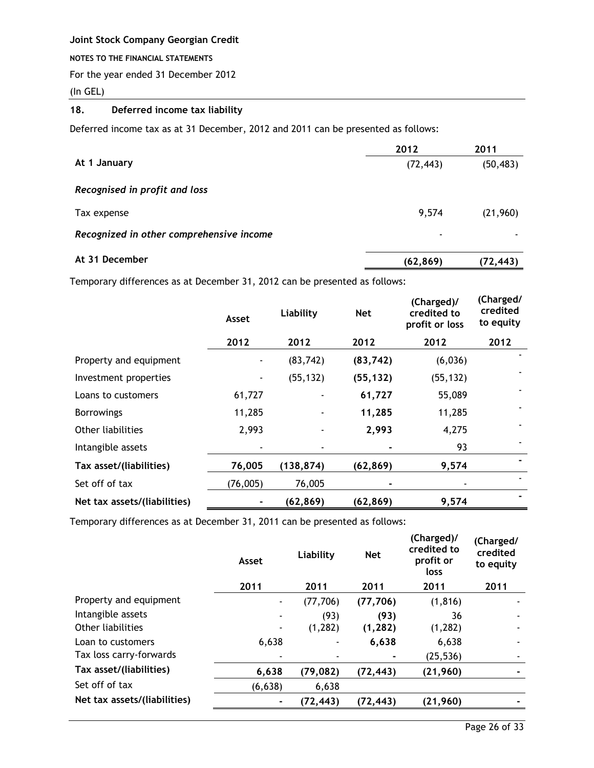#### **NOTES TO THE FINANCIAL STATEMENTS**

For the year ended 31 December 2012

(In GEL)

## <span id="page-25-0"></span>**18. Deferred income tax liability**

Deferred income tax as at 31 December, 2012 and 2011 can be presented as follows:

|                                          | 2012      | 2011      |
|------------------------------------------|-----------|-----------|
| At 1 January                             | (72, 443) | (50, 483) |
| Recognised in profit and loss            |           |           |
| Tax expense                              | 9,574     | (21,960)  |
| Recognized in other comprehensive income | ٠         |           |
| At 31 December                           | (62, 869) | (72, 443) |

Temporary differences as at December 31, 2012 can be presented as follows:

|                              | Asset    | Liability  | <b>Net</b> | (Charged)/<br>credited to<br>profit or loss | (Charged/<br>credited<br>to equity |
|------------------------------|----------|------------|------------|---------------------------------------------|------------------------------------|
|                              | 2012     | 2012       | 2012       | 2012                                        | 2012                               |
| Property and equipment       |          | (83, 742)  | (83, 742)  | (6,036)                                     |                                    |
| Investment properties        |          | (55, 132)  | (55, 132)  | (55, 132)                                   |                                    |
| Loans to customers           | 61,727   |            | 61,727     | 55,089                                      |                                    |
| <b>Borrowings</b>            | 11,285   |            | 11,285     | 11,285                                      |                                    |
| Other liabilities            | 2,993    |            | 2,993      | 4,275                                       |                                    |
| Intangible assets            |          |            |            | 93                                          |                                    |
| Tax asset/(liabilities)      | 76,005   | (138, 874) | (62, 869)  | 9,574                                       |                                    |
| Set off of tax               | (76,005) | 76,005     |            |                                             |                                    |
| Net tax assets/(liabilities) |          | (62, 869)  | (62,869)   | 9,574                                       |                                    |

Temporary differences as at December 31, 2011 can be presented as follows:

|                              | Asset                    | Liability | <b>Net</b> | (Charged)/<br>credited to<br>profit or<br>loss | (Charged/<br>credited<br>to equity |
|------------------------------|--------------------------|-----------|------------|------------------------------------------------|------------------------------------|
|                              | 2011                     | 2011      | 2011       | 2011                                           | 2011                               |
| Property and equipment       | $\overline{\phantom{a}}$ | (77, 706) | (77, 706)  | (1, 816)                                       |                                    |
| Intangible assets            | $\overline{\phantom{a}}$ | (93)      | (93)       | 36                                             |                                    |
| Other liabilities            | $\overline{\phantom{a}}$ | (1, 282)  | (1, 282)   | (1, 282)                                       |                                    |
| Loan to customers            | 6,638                    |           | 6,638      | 6,638                                          |                                    |
| Tax loss carry-forwards      | $\overline{\phantom{a}}$ |           |            | (25, 536)                                      |                                    |
| Tax asset/(liabilities)      | 6,638                    | (79, 082) | (72, 443)  | (21, 960)                                      |                                    |
| Set off of tax               | (6, 638)                 | 6,638     |            |                                                |                                    |
| Net tax assets/(liabilities) | ٠                        | (72, 443) | (72, 443)  | (21,960)                                       |                                    |
|                              |                          |           |            |                                                |                                    |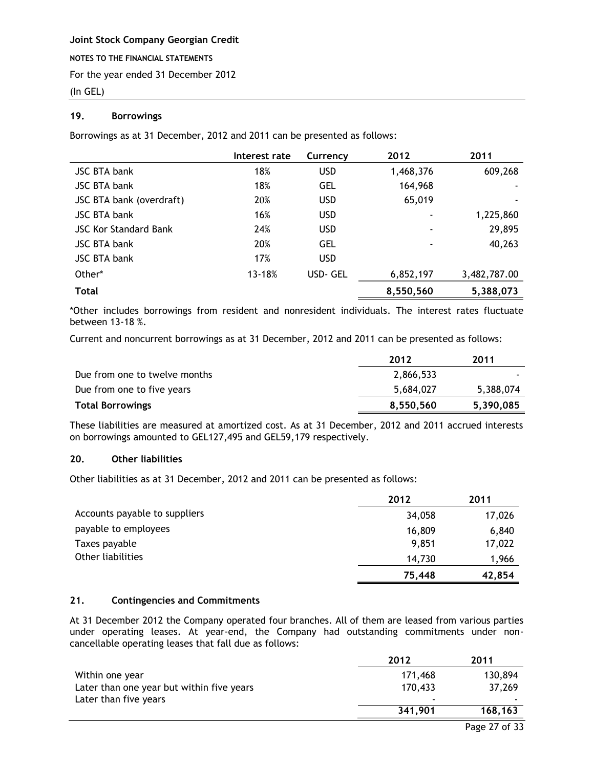## (In GEL)

## <span id="page-26-0"></span>**19. Borrowings**

Borrowings as at 31 December, 2012 and 2011 can be presented as follows:

|                              | Interest rate | Currency   | 2012      | 2011         |
|------------------------------|---------------|------------|-----------|--------------|
| JSC BTA bank                 | 18%           | <b>USD</b> | 1,468,376 | 609,268      |
| <b>JSC BTA bank</b>          | 18%           | <b>GEL</b> | 164,968   |              |
| JSC BTA bank (overdraft)     | 20%           | <b>USD</b> | 65,019    |              |
| <b>JSC BTA bank</b>          | 16%           | <b>USD</b> | ٠         | 1,225,860    |
| <b>JSC Kor Standard Bank</b> | 24%           | <b>USD</b> | ٠         | 29,895       |
| <b>JSC BTA bank</b>          | 20%           | <b>GEL</b> | ٠         | 40,263       |
| <b>JSC BTA bank</b>          | 17%           | <b>USD</b> |           |              |
| Other*                       | 13-18%        | USD-GEL    | 6,852,197 | 3,482,787.00 |
| <b>Total</b>                 |               |            | 8,550,560 | 5,388,073    |

\*Other includes borrowings from resident and nonresident individuals. The interest rates fluctuate between 13-18 %.

Current and noncurrent borrowings as at 31 December, 2012 and 2011 can be presented as follows:

|                               | 2012      | 2011      |
|-------------------------------|-----------|-----------|
| Due from one to twelve months | 2,866,533 |           |
| Due from one to five years    | 5,684,027 | 5,388,074 |
| <b>Total Borrowings</b>       | 8,550,560 | 5,390,085 |

These liabilities are measured at amortized cost. As at 31 December, 2012 and 2011 accrued interests on borrowings amounted to GEL127,495 and GEL59,179 respectively.

## <span id="page-26-1"></span>**20. Other liabilities**

Other liabilities as at 31 December, 2012 and 2011 can be presented as follows:

|                               | 2012   | 2011   |
|-------------------------------|--------|--------|
| Accounts payable to suppliers | 34,058 | 17,026 |
| payable to employees          | 16,809 | 6,840  |
| Taxes payable                 | 9,851  | 17,022 |
| Other liabilities             | 14.730 | 1,966  |
|                               | 75,448 | 42,854 |

## <span id="page-26-2"></span>**21. Contingencies and Commitments**

At 31 December 2012 the Company operated four branches. All of them are leased from various parties under operating leases. At year-end, the Company had outstanding commitments under noncancellable operating leases that fall due as follows:

| 2012                     | 2011    |
|--------------------------|---------|
| 171,468                  | 130,894 |
| 170,433                  | 37,269  |
| $\overline{\phantom{a}}$ |         |
| 341,901                  | 168,163 |
|                          |         |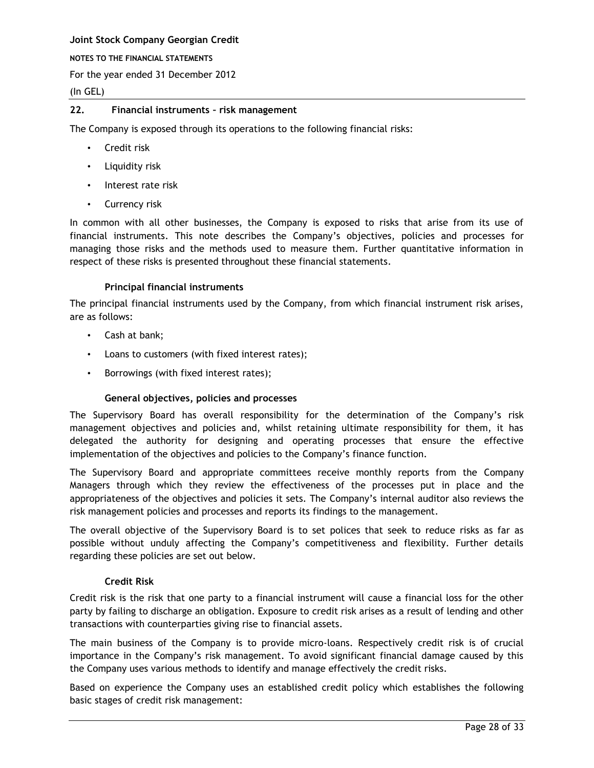#### **NOTES TO THE FINANCIAL STATEMENTS**

For the year ended 31 December 2012

## (In GEL)

## <span id="page-27-0"></span>**22. Financial instruments – risk management**

The Company is exposed through its operations to the following financial risks:

- Credit risk
- Liquidity risk
- Interest rate risk
- Currency risk

In common with all other businesses, the Company is exposed to risks that arise from its use of financial instruments. This note describes the Company's objectives, policies and processes for managing those risks and the methods used to measure them. Further quantitative information in respect of these risks is presented throughout these financial statements.

## **Principal financial instruments**

The principal financial instruments used by the Company, from which financial instrument risk arises, are as follows:

- Cash at bank;
- Loans to customers (with fixed interest rates);
- Borrowings (with fixed interest rates);

#### **General objectives, policies and processes**

The Supervisory Board has overall responsibility for the determination of the Company's risk management objectives and policies and, whilst retaining ultimate responsibility for them, it has delegated the authority for designing and operating processes that ensure the effective implementation of the objectives and policies to the Company's finance function.

The Supervisory Board and appropriate committees receive monthly reports from the Company Managers through which they review the effectiveness of the processes put in place and the appropriateness of the objectives and policies it sets. The Company's internal auditor also reviews the risk management policies and processes and reports its findings to the management.

The overall objective of the Supervisory Board is to set polices that seek to reduce risks as far as possible without unduly affecting the Company's competitiveness and flexibility. Further details regarding these policies are set out below.

#### **Credit Risk**

Credit risk is the risk that one party to a financial instrument will cause a financial loss for the other party by failing to discharge an obligation. Exposure to credit risk arises as a result of lending and other transactions with counterparties giving rise to financial assets.

The main business of the Company is to provide micro-loans. Respectively credit risk is of crucial importance in the Company's risk management. To avoid significant financial damage caused by this the Company uses various methods to identify and manage effectively the credit risks.

Based on experience the Company uses an established credit policy which establishes the following basic stages of credit risk management: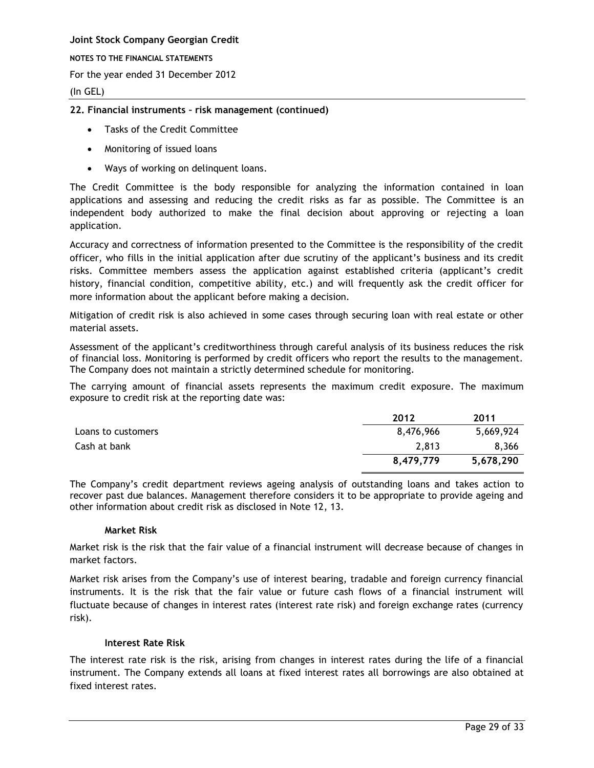**NOTES TO THE FINANCIAL STATEMENTS**

For the year ended 31 December 2012

(In GEL)

## **22. Financial instruments – risk management (continued)**

- Tasks of the Credit Committee
- Monitoring of issued loans
- Ways of working on delinquent loans.

The Credit Committee is the body responsible for analyzing the information contained in loan applications and assessing and reducing the credit risks as far as possible. The Committee is an independent body authorized to make the final decision about approving or rejecting a loan application.

Accuracy and correctness of information presented to the Committee is the responsibility of the credit officer, who fills in the initial application after due scrutiny of the applicant's business and its credit risks. Committee members assess the application against established criteria (applicant's credit history, financial condition, competitive ability, etc.) and will frequently ask the credit officer for more information about the applicant before making a decision.

Mitigation of credit risk is also achieved in some cases through securing loan with real estate or other material assets.

Assessment of the applicant's creditworthiness through careful analysis of its business reduces the risk of financial loss. Monitoring is performed by credit officers who report the results to the management. The Company does not maintain a strictly determined schedule for monitoring.

The carrying amount of financial assets represents the maximum credit exposure. The maximum exposure to credit risk at the reporting date was:

|                    | 2012      | 2011      |
|--------------------|-----------|-----------|
| Loans to customers | 8,476,966 | 5,669,924 |
| Cash at bank       | 2.813     | 8,366     |
|                    | 8,479,779 | 5,678,290 |

The Company's credit department reviews ageing analysis of outstanding loans and takes action to recover past due balances. Management therefore considers it to be appropriate to provide ageing and other information about credit risk as disclosed in Note 12, 13.

#### **Market Risk**

Market risk is the risk that the fair value of a financial instrument will decrease because of changes in market factors.

Market risk arises from the Company's use of interest bearing, tradable and foreign currency financial instruments. It is the risk that the fair value or future cash flows of a financial instrument will fluctuate because of changes in interest rates (interest rate risk) and foreign exchange rates (currency risk).

## **Interest Rate Risk**

The interest rate risk is the risk, arising from changes in interest rates during the life of a financial instrument. The Company extends all loans at fixed interest rates all borrowings are also obtained at fixed interest rates.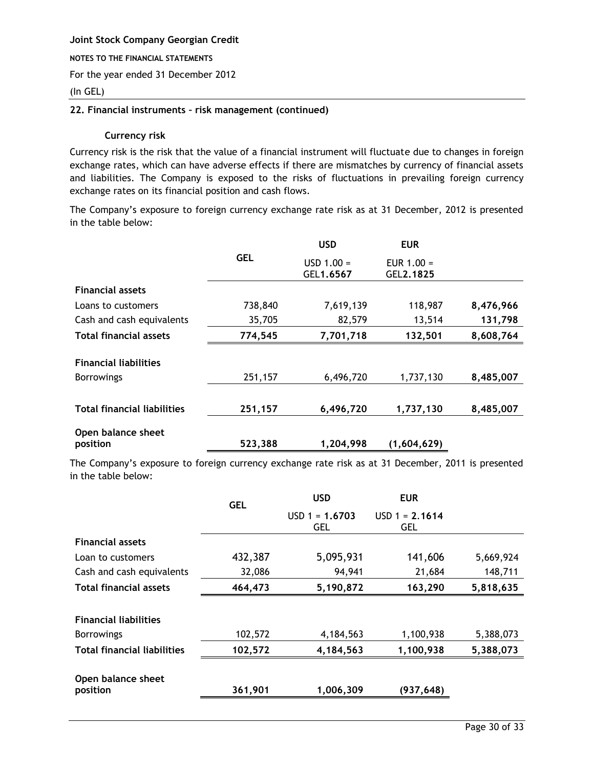#### **NOTES TO THE FINANCIAL STATEMENTS**

For the year ended 31 December 2012

## (In GEL)

## **22. Financial instruments – risk management (continued)**

## **Currency risk**

Currency risk is the risk that the value of a financial instrument will fluctuate due to changes in foreign exchange rates, which can have adverse effects if there are mismatches by currency of financial assets and liabilities. The Company is exposed to the risks of fluctuations in prevailing foreign currency exchange rates on its financial position and cash flows.

The Company's exposure to foreign currency exchange rate risk as at 31 December, 2012 is presented in the table below:

|                                    |            | <b>USD</b>                | <b>EUR</b>                |           |
|------------------------------------|------------|---------------------------|---------------------------|-----------|
|                                    | <b>GEL</b> | $USD 1.00 =$<br>GEL1.6567 | EUR $1.00 =$<br>GEL2.1825 |           |
| <b>Financial assets</b>            |            |                           |                           |           |
| Loans to customers                 | 738,840    | 7,619,139                 | 118,987                   | 8,476,966 |
| Cash and cash equivalents          | 35,705     | 82,579                    | 13,514                    | 131,798   |
| <b>Total financial assets</b>      | 774,545    | 7,701,718                 | 132,501                   | 8,608,764 |
| <b>Financial liabilities</b>       |            |                           |                           |           |
| <b>Borrowings</b>                  | 251,157    | 6,496,720                 | 1,737,130                 | 8,485,007 |
|                                    |            |                           |                           |           |
| <b>Total financial liabilities</b> | 251,157    | 6,496,720                 | 1,737,130                 | 8,485,007 |
| Open balance sheet                 |            |                           |                           |           |
| position                           | 523,388    | 1,204,998                 | (1,604,629)               |           |

The Company's exposure to foreign currency exchange rate risk as at 31 December, 2011 is presented in the table below:

|                                    | <b>GEL</b> | <b>USD</b>                     | <b>EUR</b>                     |           |
|------------------------------------|------------|--------------------------------|--------------------------------|-----------|
|                                    |            | $USD 1 = 1.6703$<br><b>GEL</b> | $USD 1 = 2.1614$<br><b>GEL</b> |           |
| <b>Financial assets</b>            |            |                                |                                |           |
| Loan to customers                  | 432,387    | 5,095,931                      | 141,606                        | 5,669,924 |
| Cash and cash equivalents          | 32,086     | 94,941                         | 21,684                         | 148,711   |
| <b>Total financial assets</b>      | 464,473    | 5,190,872                      | 163,290                        | 5,818,635 |
|                                    |            |                                |                                |           |
| <b>Financial liabilities</b>       |            |                                |                                |           |
| <b>Borrowings</b>                  | 102,572    | 4,184,563                      | 1,100,938                      | 5,388,073 |
| <b>Total financial liabilities</b> | 102,572    | 4,184,563                      | 1,100,938                      | 5,388,073 |
| Open balance sheet<br>position     | 361,901    | 1,006,309                      | (937,648)                      |           |
|                                    |            |                                |                                |           |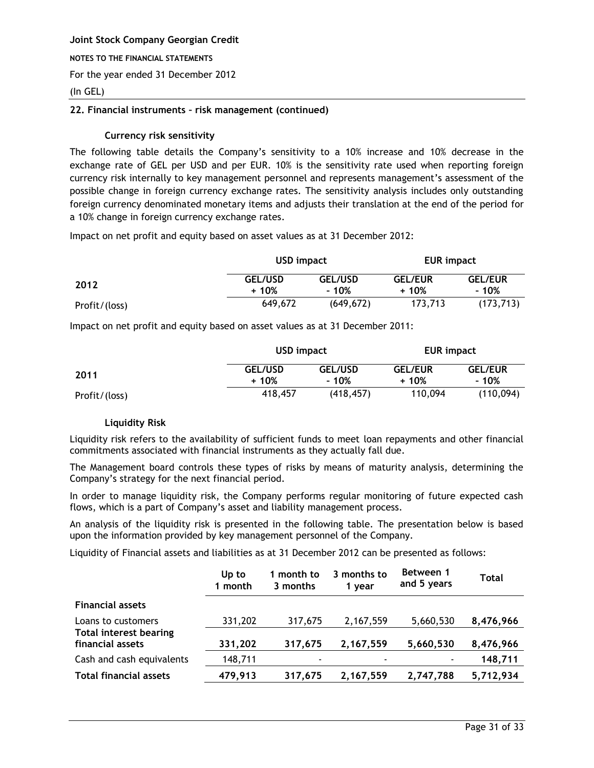#### **NOTES TO THE FINANCIAL STATEMENTS**

For the year ended 31 December 2012

## (In GEL)

## **22. Financial instruments – risk management (continued)**

## **Currency risk sensitivity**

The following table details the Company's sensitivity to a 10% increase and 10% decrease in the exchange rate of GEL per USD and per EUR. 10% is the sensitivity rate used when reporting foreign currency risk internally to key management personnel and represents management's assessment of the possible change in foreign currency exchange rates. The sensitivity analysis includes only outstanding foreign currency denominated monetary items and adjusts their translation at the end of the period for a 10% change in foreign currency exchange rates.

Impact on net profit and equity based on asset values as at 31 December 2012:

|               | USD impact               |                         | EUR impact               |                         |
|---------------|--------------------------|-------------------------|--------------------------|-------------------------|
| 2012          | <b>GEL/USD</b><br>$+10%$ | <b>GEL/USD</b><br>- 10% | <b>GEL/EUR</b><br>$+10%$ | <b>GEL/EUR</b><br>- 10% |
| Profit/(loss) | 649,672                  | (649, 672)              | 173,713                  | (173, 713)              |

Impact on net profit and equity based on asset values as at 31 December 2011:

|               |                          | USD impact<br>EUR impact |                          |                         |
|---------------|--------------------------|--------------------------|--------------------------|-------------------------|
| 2011          | <b>GEL/USD</b><br>$+10%$ | <b>GEL/USD</b><br>- 10%  | <b>GEL/EUR</b><br>$+10%$ | <b>GEL/EUR</b><br>- 10% |
| Profit/(loss) | 418,457                  | (418, 457)               | 110,094                  | (110, 094)              |

## **Liquidity Risk**

Liquidity risk refers to the availability of sufficient funds to meet loan repayments and other financial commitments associated with financial instruments as they actually fall due.

The Management board controls these types of risks by means of maturity analysis, determining the Company's strategy for the next financial period.

In order to manage liquidity risk, the Company performs regular monitoring of future expected cash flows, which is a part of Company's asset and liability management process.

An analysis of the liquidity risk is presented in the following table. The presentation below is based upon the information provided by key management personnel of the Company.

Liquidity of Financial assets and liabilities as at 31 December 2012 can be presented as follows:

|                                                   | Up to<br>1 month | 1 month to<br>3 months | 3 months to<br>1 year | Between 1<br>and 5 years | Total     |
|---------------------------------------------------|------------------|------------------------|-----------------------|--------------------------|-----------|
| <b>Financial assets</b>                           |                  |                        |                       |                          |           |
| Loans to customers                                | 331,202          | 317,675                | 2,167,559             | 5,660,530                | 8,476,966 |
| <b>Total interest bearing</b><br>financial assets | 331,202          | 317,675                | 2,167,559             | 5,660,530                | 8,476,966 |
| Cash and cash equivalents                         | 148,711          | ۰                      |                       |                          | 148,711   |
| <b>Total financial assets</b>                     | 479,913          | 317,675                | 2,167,559             | 2,747,788                | 5,712,934 |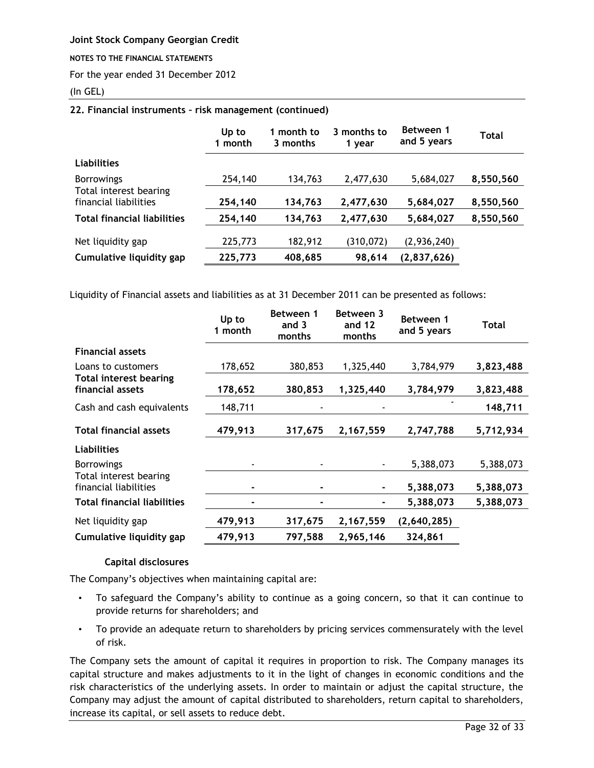### **NOTES TO THE FINANCIAL STATEMENTS**

For the year ended 31 December 2012

## (In GEL)

## **22. Financial instruments – risk management (continued)**

|                                                 | Up to<br>1 month | 1 month to<br>3 months | 3 months to<br>1 year | Between 1<br>and 5 years | Total     |
|-------------------------------------------------|------------------|------------------------|-----------------------|--------------------------|-----------|
| <b>Liabilities</b>                              |                  |                        |                       |                          |           |
| <b>Borrowings</b>                               | 254,140          | 134,763                | 2,477,630             | 5,684,027                | 8,550,560 |
| Total interest bearing<br>financial liabilities | 254,140          | 134,763                | 2,477,630             | 5,684,027                | 8,550,560 |
| <b>Total financial liabilities</b>              | 254,140          | 134,763                | 2,477,630             | 5,684,027                | 8,550,560 |
| Net liquidity gap                               | 225,773          | 182,912                | (310, 072)            | (2,936,240)              |           |
| Cumulative liquidity gap                        | 225,773          | 408,685                | 98,614                | (2,837,626)              |           |

Liquidity of Financial assets and liabilities as at 31 December 2011 can be presented as follows:

|                                                   | Up to<br>1 month | Between 1<br>and 3<br>months | Between 3<br>and 12<br>months | Between 1<br>and 5 years | Total     |
|---------------------------------------------------|------------------|------------------------------|-------------------------------|--------------------------|-----------|
| <b>Financial assets</b>                           |                  |                              |                               |                          |           |
| Loans to customers                                | 178,652          | 380,853                      | 1,325,440                     | 3,784,979                | 3,823,488 |
| <b>Total interest bearing</b><br>financial assets | 178,652          | 380,853                      | 1,325,440                     | 3,784,979                | 3,823,488 |
| Cash and cash equivalents                         | 148,711          |                              |                               |                          | 148,711   |
| <b>Total financial assets</b>                     | 479,913          | 317,675                      | 2,167,559                     | 2,747,788                | 5,712,934 |
| <b>Liabilities</b>                                |                  |                              |                               |                          |           |
| <b>Borrowings</b>                                 |                  |                              |                               | 5,388,073                | 5,388,073 |
| Total interest bearing<br>financial liabilities   |                  |                              |                               | 5,388,073                | 5,388,073 |
| <b>Total financial liabilities</b>                |                  |                              |                               | 5,388,073                | 5,388,073 |
| Net liquidity gap                                 | 479,913          | 317,675                      | 2,167,559                     | (2,640,285)              |           |
| Cumulative liquidity gap                          | 479,913          | 797,588                      | 2,965,146                     | 324,861                  |           |

#### **Capital disclosures**

The Company's objectives when maintaining capital are:

- To safeguard the Company's ability to continue as a going concern, so that it can continue to provide returns for shareholders; and
- To provide an adequate return to shareholders by pricing services commensurately with the level of risk.

The Company sets the amount of capital it requires in proportion to risk. The Company manages its capital structure and makes adjustments to it in the light of changes in economic conditions and the risk characteristics of the underlying assets. In order to maintain or adjust the capital structure, the Company may adjust the amount of capital distributed to shareholders, return capital to shareholders, increase its capital, or sell assets to reduce debt.